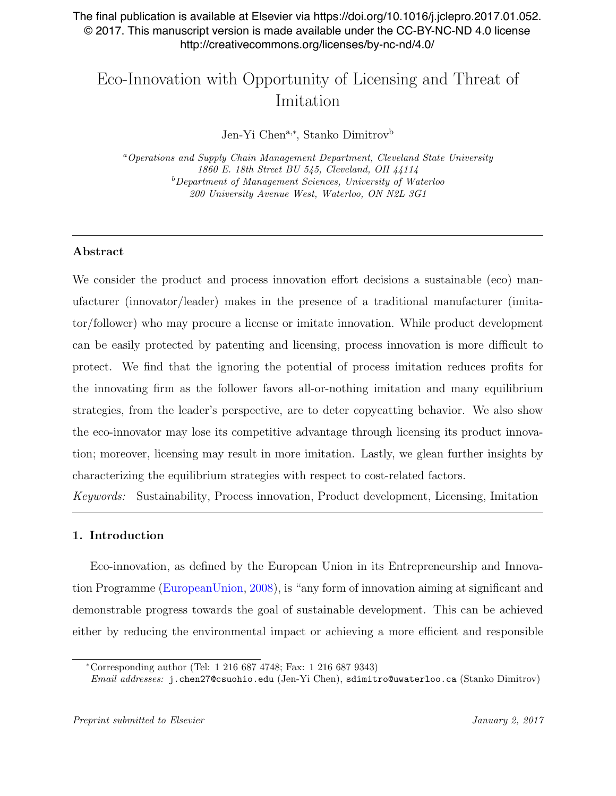# The final publication is available at Elsevier via https://doi.org/10.1016/j.jclepro.2017.01.052. © 2017. This manuscript version is made available under the CC-BY-NC-ND 4.0 license http://creativecommons.org/licenses/by-nc-nd/4.0/

# Eco-Innovation with Opportunity of Licensing and Threat of Imitation

Jen-Yi Chen<sup>a,∗</sup>, Stanko Dimitrov<sup>b</sup>

<sup>a</sup>Operations and Supply Chain Management Department, Cleveland State University 1860 E. 18th Street BU 545, Cleveland, OH 44114  $b$ Department of Management Sciences, University of Waterloo 200 University Avenue West, Waterloo, ON N2L 3G1

# Abstract

We consider the product and process innovation effort decisions a sustainable (eco) manufacturer (innovator/leader) makes in the presence of a traditional manufacturer (imitator/follower) who may procure a license or imitate innovation. While product development can be easily protected by patenting and licensing, process innovation is more difficult to protect. We find that the ignoring the potential of process imitation reduces profits for the innovating firm as the follower favors all-or-nothing imitation and many equilibrium strategies, from the leader's perspective, are to deter copycatting behavior. We also show the eco-innovator may lose its competitive advantage through licensing its product innovation; moreover, licensing may result in more imitation. Lastly, we glean further insights by characterizing the equilibrium strategies with respect to cost-related factors.

Keywords: Sustainability, Process innovation, Product development, Licensing, Imitation

# 1. Introduction

Eco-innovation, as defined by the European Union in its Entrepreneurship and Innovation Programme [\(EuropeanUnion,](#page-26-0) [2008\)](#page-26-0), is "any form of innovation aiming at significant and demonstrable progress towards the goal of sustainable development. This can be achieved either by reducing the environmental impact or achieving a more efficient and responsible

<sup>∗</sup>Corresponding author (Tel: 1 216 687 4748; Fax: 1 216 687 9343)

Email addresses: j.chen27@csuohio.edu (Jen-Yi Chen), sdimitro@uwaterloo.ca (Stanko Dimitrov)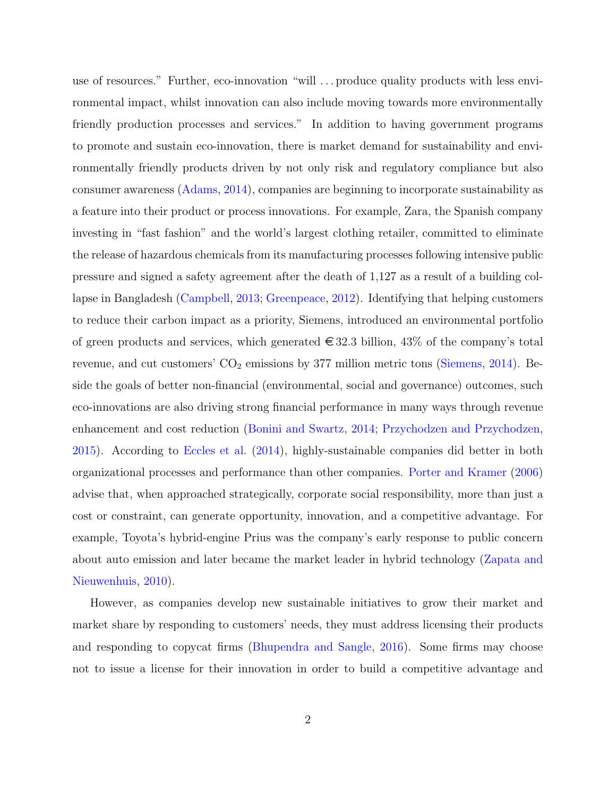use of resources." Further, eco-innovation "will . . . produce quality products with less environmental impact, whilst innovation can also include moving towards more environmentally friendly production processes and services." In addition to having government programs to promote and sustain eco-innovation, there is market demand for sustainability and environmentally friendly products driven by not only risk and regulatory compliance but also consumer awareness [\(Adams,](#page-24-0) [2014\)](#page-24-0), companies are beginning to incorporate sustainability as a feature into their product or process innovations. For example, Zara, the Spanish company investing in "fast fashion" and the world's largest clothing retailer, committed to eliminate the release of hazardous chemicals from its manufacturing processes following intensive public pressure and signed a safety agreement after the death of 1,127 as a result of a building collapse in Bangladesh [\(Campbell,](#page-25-0) [2013;](#page-25-0) [Greenpeace,](#page-27-0) [2012\)](#page-27-0). Identifying that helping customers to reduce their carbon impact as a priority, Siemens, introduced an environmental portfolio of green products and services, which generated  $\in$  32.3 billion, 43% of the company's total revenue, and cut customers'  $CO_2$  emissions by 377 million metric tons [\(Siemens,](#page-29-0) [2014\)](#page-29-0). Beside the goals of better non-financial (environmental, social and governance) outcomes, such eco-innovations are also driving strong financial performance in many ways through revenue enhancement and cost reduction [\(Bonini and Swartz,](#page-25-1) [2014;](#page-25-1) [Przychodzen and Przychodzen,](#page-29-1) [2015\)](#page-29-1). According to [Eccles et al.](#page-26-1) [\(2014\)](#page-26-1), highly-sustainable companies did better in both organizational processes and performance than other companies. [Porter and Kramer](#page-28-0) [\(2006\)](#page-28-0) advise that, when approached strategically, corporate social responsibility, more than just a cost or constraint, can generate opportunity, innovation, and a competitive advantage. For example, Toyota's hybrid-engine Prius was the company's early response to public concern about auto emission and later became the market leader in hybrid technology [\(Zapata and](#page-30-0) [Nieuwenhuis,](#page-30-0) [2010\)](#page-30-0).

However, as companies develop new sustainable initiatives to grow their market and market share by responding to customers' needs, they must address licensing their products and responding to copycat firms [\(Bhupendra and Sangle,](#page-24-1) [2016\)](#page-24-1). Some firms may choose not to issue a license for their innovation in order to build a competitive advantage and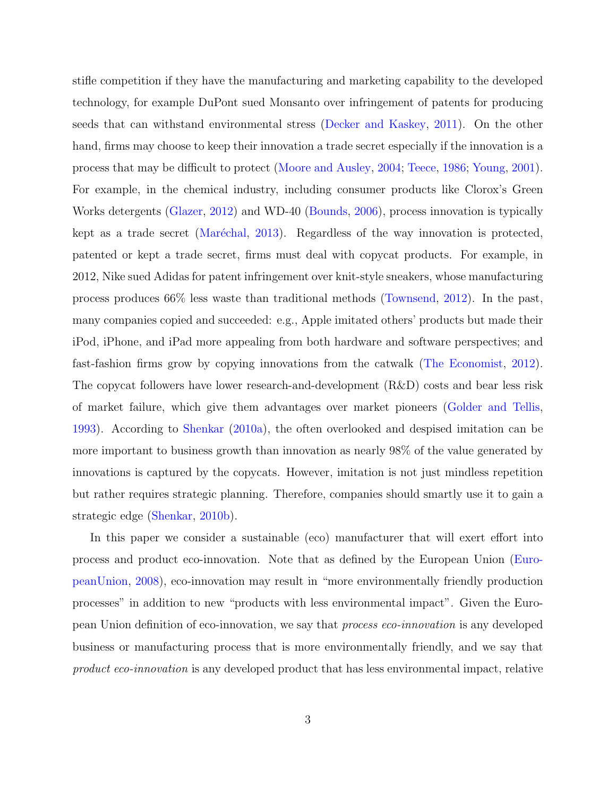stifle competition if they have the manufacturing and marketing capability to the developed technology, for example DuPont sued Monsanto over infringement of patents for producing seeds that can withstand environmental stress [\(Decker and Kaskey,](#page-26-2) [2011\)](#page-26-2). On the other hand, firms may choose to keep their innovation a trade secret especially if the innovation is a process that may be difficult to protect [\(Moore and Ausley,](#page-28-1) [2004;](#page-28-1) [Teece,](#page-29-2) [1986;](#page-29-2) [Young,](#page-30-1) [2001\)](#page-30-1). For example, in the chemical industry, including consumer products like Clorox's Green Works detergents [\(Glazer,](#page-26-3) [2012\)](#page-26-3) and WD-40 [\(Bounds,](#page-25-2) [2006\)](#page-25-2), process innovation is typically kept as a trade secret (Maréchal, [2013\)](#page-28-2). Regardless of the way innovation is protected, patented or kept a trade secret, firms must deal with copycat products. For example, in 2012, Nike sued Adidas for patent infringement over knit-style sneakers, whose manufacturing process produces 66% less waste than traditional methods [\(Townsend,](#page-30-2) [2012\)](#page-30-2). In the past, many companies copied and succeeded: e.g., Apple imitated others' products but made their iPod, iPhone, and iPad more appealing from both hardware and software perspectives; and fast-fashion firms grow by copying innovations from the catwalk [\(The Economist,](#page-30-3) [2012\)](#page-30-3). The copycat followers have lower research-and-development (R&D) costs and bear less risk of market failure, which give them advantages over market pioneers [\(Golder and Tellis,](#page-27-1) [1993\)](#page-27-1). According to [Shenkar](#page-29-3) [\(2010a\)](#page-29-3), the often overlooked and despised imitation can be more important to business growth than innovation as nearly 98% of the value generated by innovations is captured by the copycats. However, imitation is not just mindless repetition but rather requires strategic planning. Therefore, companies should smartly use it to gain a strategic edge [\(Shenkar,](#page-29-4) [2010b\)](#page-29-4).

In this paper we consider a sustainable (eco) manufacturer that will exert effort into process and product eco-innovation. Note that as defined by the European Union [\(Euro](#page-26-0)[peanUnion,](#page-26-0) [2008\)](#page-26-0), eco-innovation may result in "more environmentally friendly production processes" in addition to new "products with less environmental impact". Given the European Union definition of eco-innovation, we say that process eco-innovation is any developed business or manufacturing process that is more environmentally friendly, and we say that product eco-innovation is any developed product that has less environmental impact, relative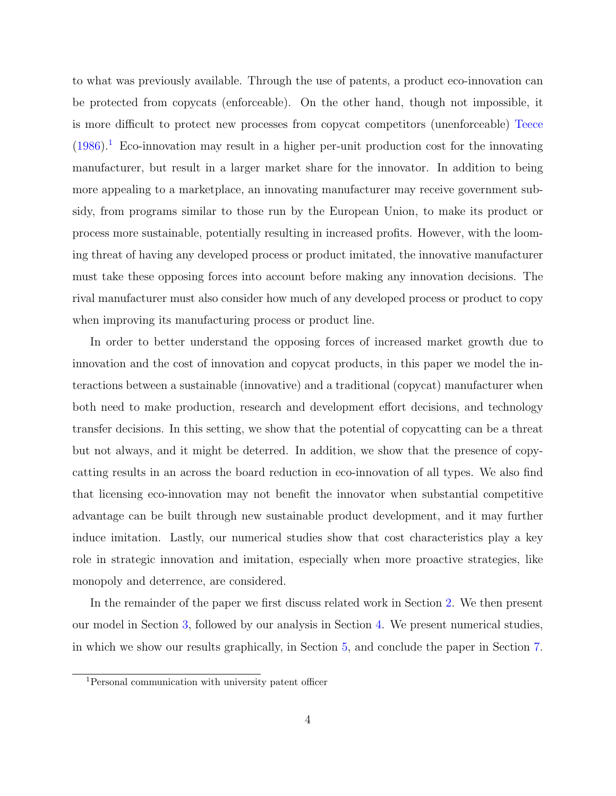to what was previously available. Through the use of patents, a product eco-innovation can be protected from copycats (enforceable). On the other hand, though not impossible, it is more difficult to protect new processes from copycat competitors (unenforceable) [Teece](#page-29-2)  $(1986).$  $(1986).$ <sup>[1](#page-3-0)</sup> Eco-innovation may result in a higher per-unit production cost for the innovating manufacturer, but result in a larger market share for the innovator. In addition to being more appealing to a marketplace, an innovating manufacturer may receive government subsidy, from programs similar to those run by the European Union, to make its product or process more sustainable, potentially resulting in increased profits. However, with the looming threat of having any developed process or product imitated, the innovative manufacturer must take these opposing forces into account before making any innovation decisions. The rival manufacturer must also consider how much of any developed process or product to copy when improving its manufacturing process or product line.

In order to better understand the opposing forces of increased market growth due to innovation and the cost of innovation and copycat products, in this paper we model the interactions between a sustainable (innovative) and a traditional (copycat) manufacturer when both need to make production, research and development effort decisions, and technology transfer decisions. In this setting, we show that the potential of copycatting can be a threat but not always, and it might be deterred. In addition, we show that the presence of copycatting results in an across the board reduction in eco-innovation of all types. We also find that licensing eco-innovation may not benefit the innovator when substantial competitive advantage can be built through new sustainable product development, and it may further induce imitation. Lastly, our numerical studies show that cost characteristics play a key role in strategic innovation and imitation, especially when more proactive strategies, like monopoly and deterrence, are considered.

In the remainder of the paper we first discuss related work in Section [2.](#page-4-0) We then present our model in Section [3,](#page-5-0) followed by our analysis in Section [4.](#page-8-0) We present numerical studies, in which we show our results graphically, in Section [5,](#page-17-0) and conclude the paper in Section [7.](#page-23-0)

<span id="page-3-0"></span><sup>1</sup>Personal communication with university patent officer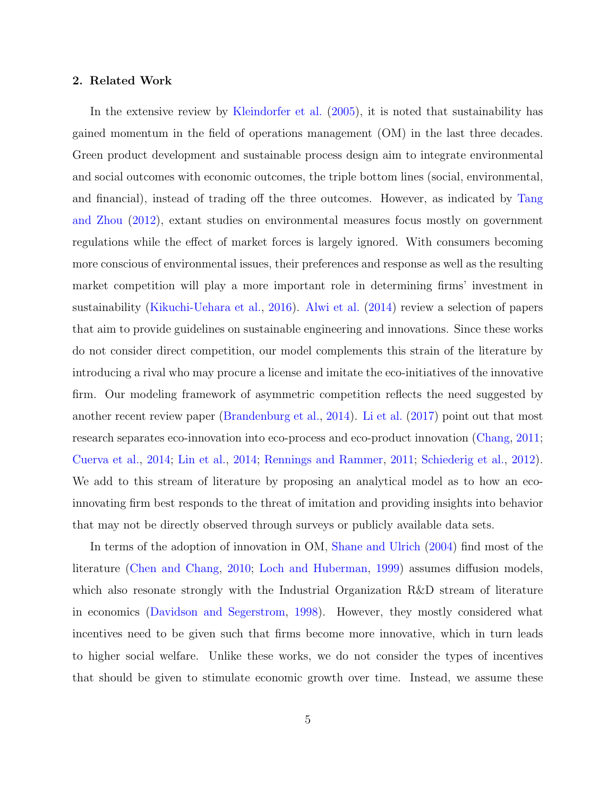#### <span id="page-4-0"></span>2. Related Work

In the extensive review by [Kleindorfer et al.](#page-27-2) [\(2005\)](#page-27-2), it is noted that sustainability has gained momentum in the field of operations management (OM) in the last three decades. Green product development and sustainable process design aim to integrate environmental and social outcomes with economic outcomes, the triple bottom lines (social, environmental, and financial), instead of trading off the three outcomes. However, as indicated by [Tang](#page-29-5) [and Zhou](#page-29-5) [\(2012\)](#page-29-5), extant studies on environmental measures focus mostly on government regulations while the effect of market forces is largely ignored. With consumers becoming more conscious of environmental issues, their preferences and response as well as the resulting market competition will play a more important role in determining firms' investment in sustainability [\(Kikuchi-Uehara et al.,](#page-27-3) [2016\)](#page-27-3). [Alwi et al.](#page-24-2) [\(2014\)](#page-24-2) review a selection of papers that aim to provide guidelines on sustainable engineering and innovations. Since these works do not consider direct competition, our model complements this strain of the literature by introducing a rival who may procure a license and imitate the eco-initiatives of the innovative firm. Our modeling framework of asymmetric competition reflects the need suggested by another recent review paper [\(Brandenburg et al.,](#page-25-3) [2014\)](#page-25-3). [Li et al.](#page-28-3) [\(2017\)](#page-28-3) point out that most research separates eco-innovation into eco-process and eco-product innovation [\(Chang,](#page-25-4) [2011;](#page-25-4) [Cuerva et al.,](#page-26-4) [2014;](#page-26-4) [Lin et al.,](#page-28-4) [2014;](#page-28-4) [Rennings and Rammer,](#page-29-6) [2011;](#page-29-6) [Schiederig et al.,](#page-29-7) [2012\)](#page-29-7). We add to this stream of literature by proposing an analytical model as to how an ecoinnovating firm best responds to the threat of imitation and providing insights into behavior that may not be directly observed through surveys or publicly available data sets.

In terms of the adoption of innovation in OM, [Shane and Ulrich](#page-29-8) [\(2004\)](#page-29-8) find most of the literature [\(Chen and Chang,](#page-25-5) [2010;](#page-25-5) [Loch and Huberman,](#page-28-5) [1999\)](#page-28-5) assumes diffusion models, which also resonate strongly with the Industrial Organization R&D stream of literature in economics [\(Davidson and Segerstrom,](#page-26-5) [1998\)](#page-26-5). However, they mostly considered what incentives need to be given such that firms become more innovative, which in turn leads to higher social welfare. Unlike these works, we do not consider the types of incentives that should be given to stimulate economic growth over time. Instead, we assume these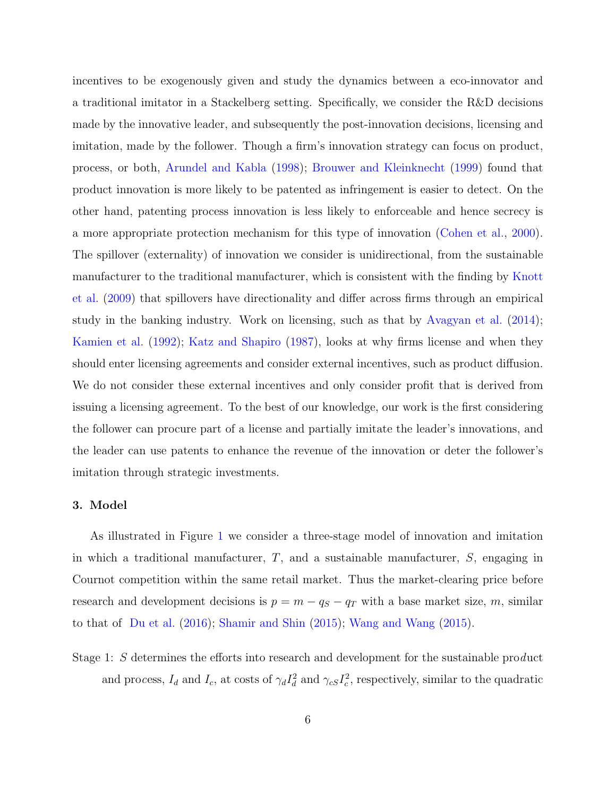incentives to be exogenously given and study the dynamics between a eco-innovator and a traditional imitator in a Stackelberg setting. Specifically, we consider the R&D decisions made by the innovative leader, and subsequently the post-innovation decisions, licensing and imitation, made by the follower. Though a firm's innovation strategy can focus on product, process, or both, [Arundel and Kabla](#page-24-3) [\(1998\)](#page-24-3); [Brouwer and Kleinknecht](#page-25-6) [\(1999\)](#page-25-6) found that product innovation is more likely to be patented as infringement is easier to detect. On the other hand, patenting process innovation is less likely to enforceable and hence secrecy is a more appropriate protection mechanism for this type of innovation [\(Cohen et al.,](#page-25-7) [2000\)](#page-25-7). The spillover (externality) of innovation we consider is unidirectional, from the sustainable manufacturer to the traditional manufacturer, which is consistent with the finding by [Knott](#page-27-4) [et al.](#page-27-4) [\(2009\)](#page-27-4) that spillovers have directionality and differ across firms through an empirical study in the banking industry. Work on licensing, such as that by [Avagyan et al.](#page-24-4) [\(2014\)](#page-24-4); [Kamien et al.](#page-27-5) [\(1992\)](#page-27-5); [Katz and Shapiro](#page-27-6) [\(1987\)](#page-27-6), looks at why firms license and when they should enter licensing agreements and consider external incentives, such as product diffusion. We do not consider these external incentives and only consider profit that is derived from issuing a licensing agreement. To the best of our knowledge, our work is the first considering the follower can procure part of a license and partially imitate the leader's innovations, and the leader can use patents to enhance the revenue of the innovation or deter the follower's imitation through strategic investments.

# <span id="page-5-0"></span>3. Model

As illustrated in Figure [1](#page-6-0) we consider a three-stage model of innovation and imitation in which a traditional manufacturer,  $T$ , and a sustainable manufacturer,  $S$ , engaging in Cournot competition within the same retail market. Thus the market-clearing price before research and development decisions is  $p = m - q_S - q_T$  with a base market size, m, similar to that of [Du et al.](#page-26-6) [\(2016\)](#page-26-6); [Shamir and Shin](#page-29-9) [\(2015\)](#page-29-9); [Wang and Wang](#page-30-4) [\(2015\)](#page-30-4).

Stage 1: S determines the efforts into research and development for the sustainable product and process,  $I_d$  and  $I_c$ , at costs of  $\gamma_d I_d^2$  and  $\gamma_{cs} I_c^2$ , respectively, similar to the quadratic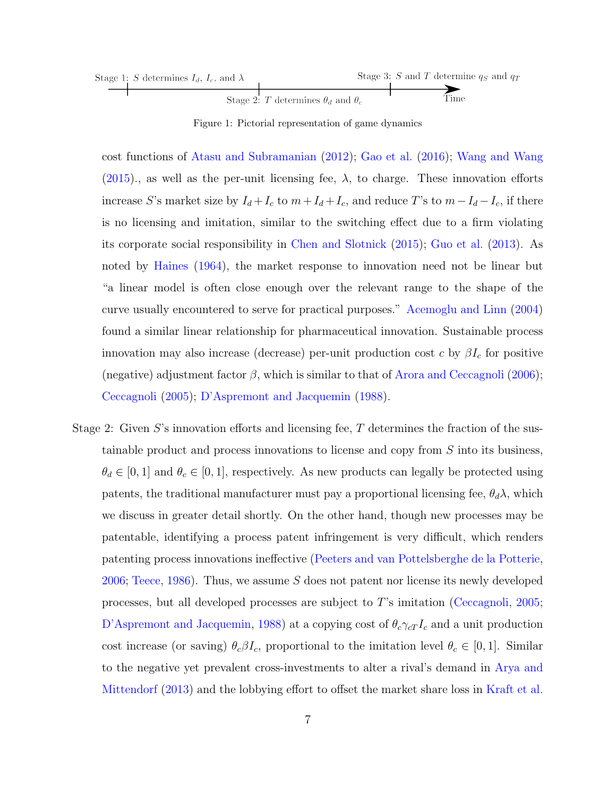| Stage 1: S determines $I_d$ , $I_c$ , and $\lambda$ |                                                 | Stage 3: S and T determine $q_S$ and $q_T$ |
|-----------------------------------------------------|-------------------------------------------------|--------------------------------------------|
|                                                     |                                                 |                                            |
|                                                     | Stage 2: T determines $\theta_d$ and $\theta_c$ | Time                                       |

<span id="page-6-0"></span>Figure 1: Pictorial representation of game dynamics

cost functions of [Atasu and Subramanian](#page-24-5) [\(2012\)](#page-24-5); [Gao et al.](#page-26-7) [\(2016\)](#page-26-7); [Wang and Wang](#page-30-4) [\(2015\)](#page-30-4)., as well as the per-unit licensing fee,  $\lambda$ , to charge. These innovation efforts increase S's market size by  $I_d + I_c$  to  $m + I_d + I_c$ , and reduce T's to  $m - I_d - I_c$ , if there is no licensing and imitation, similar to the switching effect due to a firm violating its corporate social responsibility in [Chen and Slotnick](#page-25-8) [\(2015\)](#page-25-8); [Guo et al.](#page-27-7) [\(2013\)](#page-27-7). As noted by [Haines](#page-27-8) [\(1964\)](#page-27-8), the market response to innovation need not be linear but "a linear model is often close enough over the relevant range to the shape of the curve usually encountered to serve for practical purposes." [Acemoglu and Linn](#page-23-1) [\(2004\)](#page-23-1) found a similar linear relationship for pharmaceutical innovation. Sustainable process innovation may also increase (decrease) per-unit production cost c by  $\beta I_c$  for positive (negative) adjustment factor  $\beta$ , which is similar to that of [Arora and Ceccagnoli](#page-24-6) [\(2006\)](#page-24-6); [Ceccagnoli](#page-25-9) [\(2005\)](#page-25-9); [D'Aspremont and Jacquemin](#page-26-8) [\(1988\)](#page-26-8).

Stage 2: Given  $S$ 's innovation efforts and licensing fee,  $T$  determines the fraction of the sustainable product and process innovations to license and copy from S into its business,  $\theta_d \in [0,1]$  and  $\theta_c \in [0,1]$ , respectively. As new products can legally be protected using patents, the traditional manufacturer must pay a proportional licensing fee,  $\theta_d \lambda$ , which we discuss in greater detail shortly. On the other hand, though new processes may be patentable, identifying a process patent infringement is very difficult, which renders patenting process innovations ineffective [\(Peeters and van Pottelsberghe de la Potterie,](#page-28-6) [2006;](#page-28-6) [Teece,](#page-29-2) [1986\)](#page-29-2). Thus, we assume S does not patent nor license its newly developed processes, but all developed processes are subject to T's imitation [\(Ceccagnoli,](#page-25-9) [2005;](#page-25-9) [D'Aspremont and Jacquemin,](#page-26-8) [1988\)](#page-26-8) at a copying cost of  $\theta_c \gamma_c T_c$  and a unit production cost increase (or saving)  $\theta_c \beta I_c$ , proportional to the imitation level  $\theta_c \in [0,1]$ . Similar to the negative yet prevalent cross-investments to alter a rival's demand in [Arya and](#page-24-7) [Mittendorf](#page-24-7) [\(2013\)](#page-24-7) and the lobbying effort to offset the market share loss in [Kraft et al.](#page-28-7)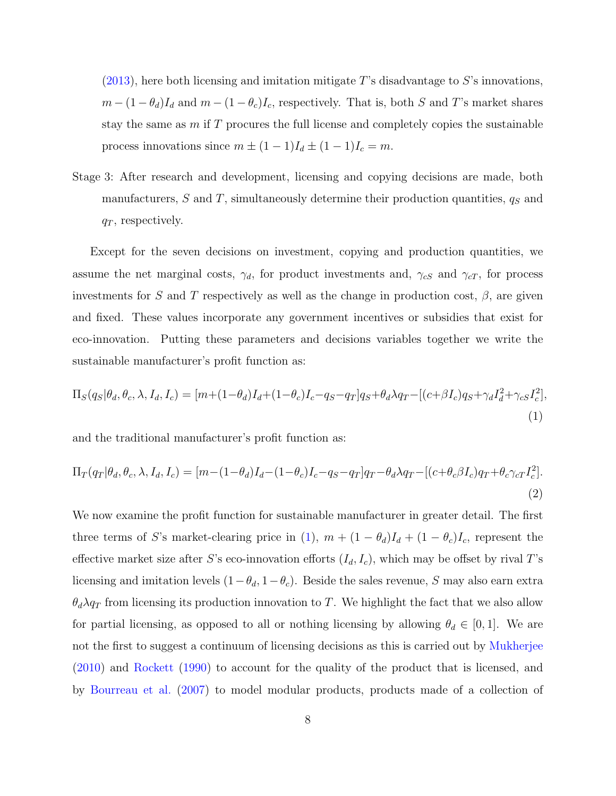$(2013)$ , here both licensing and imitation mitigate T's disadvantage to S's innovations,  $m - (1 - \theta_d)I_d$  and  $m - (1 - \theta_c)I_c$ , respectively. That is, both S and T's market shares stay the same as  $m$  if  $T$  procures the full license and completely copies the sustainable process innovations since  $m \pm (1 - 1)I_d \pm (1 - 1)I_c = m$ .

Stage 3: After research and development, licensing and copying decisions are made, both manufacturers,  $S$  and  $T$ , simultaneously determine their production quantities,  $q_S$  and  $q_T$ , respectively.

Except for the seven decisions on investment, copying and production quantities, we assume the net marginal costs,  $\gamma_d$ , for product investments and,  $\gamma_{cS}$  and  $\gamma_{cT}$ , for process investments for S and T respectively as well as the change in production cost,  $\beta$ , are given and fixed. These values incorporate any government incentives or subsidies that exist for eco-innovation. Putting these parameters and decisions variables together we write the sustainable manufacturer's profit function as:

<span id="page-7-0"></span>
$$
\Pi_S(q_S|\theta_d, \theta_c, \lambda, I_d, I_c) = [m + (1 - \theta_d)I_d + (1 - \theta_c)I_c - q_S - q_T]q_S + \theta_d\lambda q_T - [(c + \beta I_c)q_S + \gamma_d I_d^2 + \gamma_c I_c^2],
$$
\n(1)

and the traditional manufacturer's profit function as:

<span id="page-7-1"></span>
$$
\Pi_T(q_T|\theta_d, \theta_c, \lambda, I_d, I_c) = [m - (1 - \theta_d)I_d - (1 - \theta_c)I_c - q_S - q_T]q_T - \theta_d\lambda q_T - [(c + \theta_c\beta I_c)q_T + \theta_c\gamma_cI_c^2].
$$
\n(2)

We now examine the profit function for sustainable manufacturer in greater detail. The first three terms of S's market-clearing price in [\(1\)](#page-7-0),  $m + (1 - \theta_d)I_d + (1 - \theta_c)I_c$ , represent the effective market size after S's eco-innovation efforts  $(I_d, I_c)$ , which may be offset by rival T's licensing and imitation levels  $(1 - \theta_d, 1 - \theta_c)$ . Beside the sales revenue, S may also earn extra  $\theta_d \lambda q_T$  from licensing its production innovation to T. We highlight the fact that we also allow for partial licensing, as opposed to all or nothing licensing by allowing  $\theta_d \in [0,1]$ . We are not the first to suggest a continuum of licensing decisions as this is carried out by [Mukherjee](#page-28-8) [\(2010\)](#page-28-8) and [Rockett](#page-29-10) [\(1990\)](#page-29-10) to account for the quality of the product that is licensed, and by [Bourreau et al.](#page-25-10) [\(2007\)](#page-25-10) to model modular products, products made of a collection of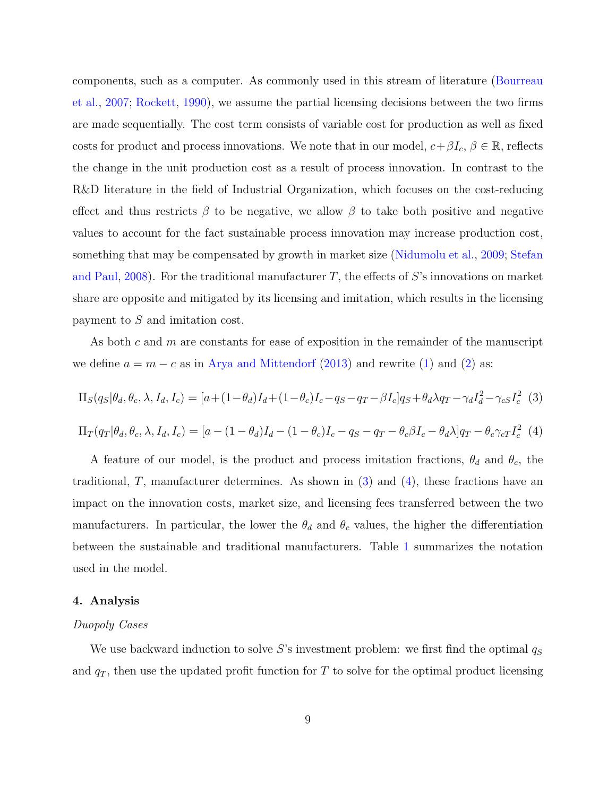components, such as a computer. As commonly used in this stream of literature [\(Bourreau](#page-25-10) [et al.,](#page-25-10) [2007;](#page-25-10) [Rockett,](#page-29-10) [1990\)](#page-29-10), we assume the partial licensing decisions between the two firms are made sequentially. The cost term consists of variable cost for production as well as fixed costs for product and process innovations. We note that in our model,  $c+\beta I_c$ ,  $\beta \in \mathbb{R}$ , reflects the change in the unit production cost as a result of process innovation. In contrast to the R&D literature in the field of Industrial Organization, which focuses on the cost-reducing effect and thus restricts  $\beta$  to be negative, we allow  $\beta$  to take both positive and negative values to account for the fact sustainable process innovation may increase production cost, something that may be compensated by growth in market size [\(Nidumolu et al.,](#page-28-9) [2009;](#page-28-9) [Stefan](#page-29-11) [and Paul,](#page-29-11) [2008\)](#page-29-11). For the traditional manufacturer  $T$ , the effects of S's innovations on market share are opposite and mitigated by its licensing and imitation, which results in the licensing payment to S and imitation cost.

As both  $c$  and  $m$  are constants for ease of exposition in the remainder of the manuscript we define  $a = m - c$  as in [Arya and Mittendorf](#page-24-7) [\(2013\)](#page-24-7) and rewrite [\(1\)](#page-7-0) and [\(2\)](#page-7-1) as:

<span id="page-8-1"></span>
$$
\Pi_S(q_S|\theta_d, \theta_c, \lambda, I_d, I_c) = [a + (1 - \theta_d)I_d + (1 - \theta_c)I_c - q_S - q_T - \beta I_c]q_S + \theta_d\lambda q_T - \gamma_d I_d^2 - \gamma_c I_c^2
$$
 (3)

<span id="page-8-2"></span> $\Pi_T(q_T|\theta_d, \theta_c, \lambda, I_d, I_c) = [a - (1 - \theta_d)I_d - (1 - \theta_c)I_c - q_S - q_T - \theta_c\beta I_c - \theta_d\lambda]q_T - \theta_c\gamma_cI_c^2$  (4)

A feature of our model, is the product and process imitation fractions,  $\theta_d$  and  $\theta_c$ , the traditional, T, manufacturer determines. As shown in  $(3)$  and  $(4)$ , these fractions have an impact on the innovation costs, market size, and licensing fees transferred between the two manufacturers. In particular, the lower the  $\theta_d$  and  $\theta_c$  values, the higher the differentiation between the sustainable and traditional manufacturers. Table [1](#page-9-0) summarizes the notation used in the model.

#### <span id="page-8-0"></span>4. Analysis

#### Duopoly Cases

We use backward induction to solve S's investment problem: we first find the optimal  $q_S$ and  $q_T$ , then use the updated profit function for T to solve for the optimal product licensing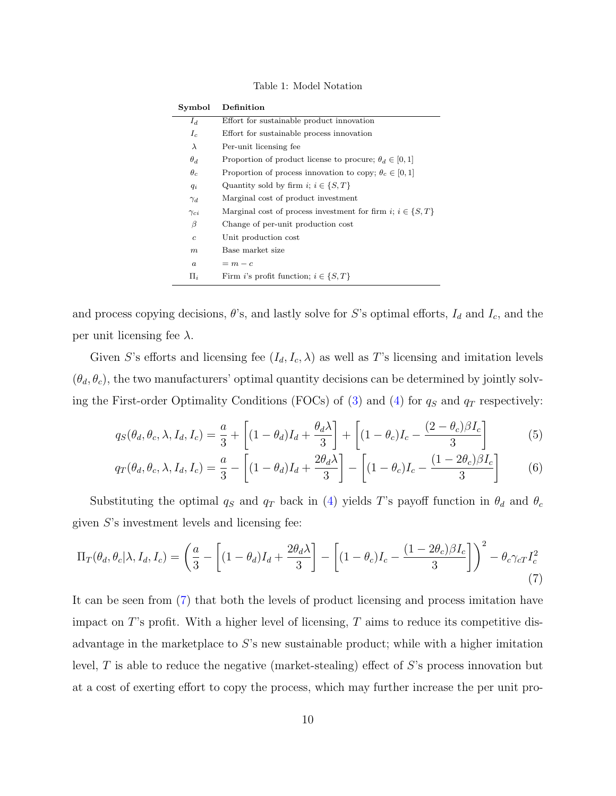<span id="page-9-0"></span>Table 1: Model Notation

| Symbol           | $\mathop{\mathrm{Definition}}$                                   |
|------------------|------------------------------------------------------------------|
| $I_d$            | Effort for sustainable product innovation                        |
| $I_c$            | Effort for sustainable process innovation                        |
| $\lambda$        | Per-unit licensing fee                                           |
| $\theta_d$       | Proportion of product license to procure; $\theta_d \in [0, 1]$  |
| $\theta_c$       | Proportion of process innovation to copy; $\theta_c \in [0,1]$   |
| $q_i$            | Quantity sold by firm $i; i \in \{S, T\}$                        |
| $\gamma_d$       | Marginal cost of product investment                              |
| $\gamma_{ci}$    | Marginal cost of process investment for firm i; $i \in \{S, T\}$ |
| β                | Change of per-unit production cost                               |
| $\boldsymbol{c}$ | Unit production cost                                             |
| $\,m$            | Base market size                                                 |
| $\boldsymbol{a}$ | $= m - c$                                                        |
| $\Pi_i$          | Firm <i>i</i> 's profit function; $i \in \{S, T\}$               |
|                  |                                                                  |

and process copying decisions,  $\theta$ 's, and lastly solve for S's optimal efforts,  $I_d$  and  $I_c$ , and the per unit licensing fee  $\lambda$ .

Given S's efforts and licensing fee  $(I_d, I_c, \lambda)$  as well as T's licensing and imitation levels  $(\theta_d, \theta_c)$ , the two manufacturers' optimal quantity decisions can be determined by jointly solv-ing the First-order Optimality Conditions (FOCs) of [\(3\)](#page-8-1) and [\(4\)](#page-8-2) for  $q_S$  and  $q_T$  respectively:

<span id="page-9-2"></span>
$$
q_S(\theta_d, \theta_c, \lambda, I_d, I_c) = \frac{a}{3} + \left[ (1 - \theta_d)I_d + \frac{\theta_d \lambda}{3} \right] + \left[ (1 - \theta_c)I_c - \frac{(2 - \theta_c)\beta I_c}{3} \right]
$$
(5)

<span id="page-9-3"></span>
$$
q_T(\theta_d, \theta_c, \lambda, I_d, I_c) = \frac{a}{3} - \left[ (1 - \theta_d)I_d + \frac{2\theta_d\lambda}{3} \right] - \left[ (1 - \theta_c)I_c - \frac{(1 - 2\theta_c)\beta I_c}{3} \right]
$$
(6)

Substituting the optimal  $q_S$  and  $q_T$  back in [\(4\)](#page-8-2) yields T's payoff function in  $\theta_d$  and  $\theta_c$ given  $S$ 's investment levels and licensing fee:

<span id="page-9-1"></span>
$$
\Pi_T(\theta_d, \theta_c | \lambda, I_d, I_c) = \left(\frac{a}{3} - \left[ (1 - \theta_d)I_d + \frac{2\theta_d \lambda}{3} \right] - \left[ (1 - \theta_c)I_c - \frac{(1 - 2\theta_c)\beta I_c}{3} \right] \right)^2 - \theta_c \gamma_c T I_c^2
$$
\n(7)

It can be seen from [\(7\)](#page-9-1) that both the levels of product licensing and process imitation have impact on T's profit. With a higher level of licensing,  $T$  aims to reduce its competitive disadvantage in the marketplace to S's new sustainable product; while with a higher imitation level,  $T$  is able to reduce the negative (market-stealing) effect of  $S$ 's process innovation but at a cost of exerting effort to copy the process, which may further increase the per unit pro-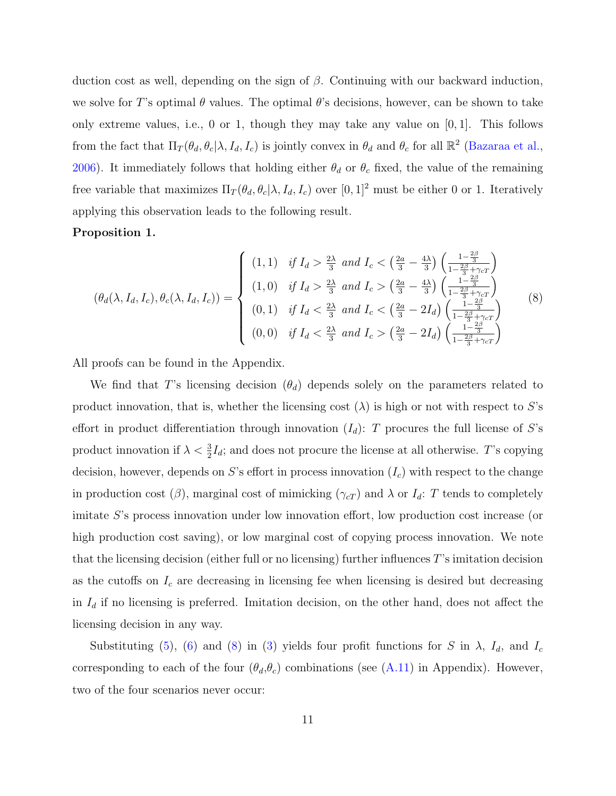duction cost as well, depending on the sign of  $\beta$ . Continuing with our backward induction, we solve for T's optimal  $\theta$  values. The optimal  $\theta$ 's decisions, however, can be shown to take only extreme values, i.e., 0 or 1, though they may take any value on  $[0, 1]$ . This follows from the fact that  $\Pi_T(\theta_d, \theta_c | \lambda, I_d, I_c)$  is jointly convex in  $\theta_d$  and  $\theta_c$  for all  $\mathbb{R}^2$  [\(Bazaraa et al.,](#page-24-8) [2006\)](#page-24-8). It immediately follows that holding either  $\theta_d$  or  $\theta_c$  fixed, the value of the remaining free variable that maximizes  $\Pi_T(\theta_d, \theta_c | \lambda, I_d, I_c)$  over  $[0, 1]^2$  must be either 0 or 1. Iteratively applying this observation leads to the following result.

# <span id="page-10-1"></span>Proposition 1.

<span id="page-10-0"></span>
$$
(\theta_d(\lambda, I_d, I_c), \theta_c(\lambda, I_d, I_c)) = \begin{cases} (1, 1) & \text{if } I_d > \frac{2\lambda}{3} \text{ and } I_c < \left(\frac{2a}{3} - \frac{4\lambda}{3}\right) \left(\frac{1 - \frac{2\beta}{3}}{1 - \frac{2\beta}{3} + \gamma_c T}\right) \\ (1, 0) & \text{if } I_d > \frac{2\lambda}{3} \text{ and } I_c > \left(\frac{2a}{3} - \frac{4\lambda}{3}\right) \left(\frac{1 - \frac{2\beta}{3}}{1 - \frac{2\beta}{3} + \gamma_c T}\right) \\ (0, 1) & \text{if } I_d < \frac{2\lambda}{3} \text{ and } I_c < \left(\frac{2a}{3} - 2I_d\right) \left(\frac{1 - \frac{2\beta}{3}}{1 - \frac{2\beta}{3} + \gamma_c T}\right) \\ (0, 0) & \text{if } I_d < \frac{2\lambda}{3} \text{ and } I_c > \left(\frac{2a}{3} - 2I_d\right) \left(\frac{1 - \frac{2\beta}{3}}{1 - \frac{2\beta}{3} + \gamma_c T}\right) \end{cases} (8)
$$

All proofs can be found in the Appendix.

We find that T's licensing decision  $(\theta_d)$  depends solely on the parameters related to product innovation, that is, whether the licensing cost  $(\lambda)$  is high or not with respect to S's effort in product differentiation through innovation  $(I_d)$ : T procures the full license of S's product innovation if  $\lambda < \frac{3}{2}I_d$ ; and does not procure the license at all otherwise. T's copying decision, however, depends on S's effort in process innovation  $(I_c)$  with respect to the change in production cost ( $\beta$ ), marginal cost of mimicking ( $\gamma_{cT}$ ) and  $\lambda$  or  $I_d$ : T tends to completely imitate S's process innovation under low innovation effort, low production cost increase (or high production cost saving), or low marginal cost of copying process innovation. We note that the licensing decision (either full or no licensing) further influences T's imitation decision as the cutoffs on  $I_c$  are decreasing in licensing fee when licensing is desired but decreasing in  $I_d$  if no licensing is preferred. Imitation decision, on the other hand, does not affect the licensing decision in any way.

Substituting [\(5\)](#page-9-2), [\(6\)](#page-9-3) and [\(8\)](#page-10-0) in [\(3\)](#page-8-1) yields four profit functions for S in  $\lambda$ ,  $I_d$ , and  $I_c$ corresponding to each of the four  $(\theta_d, \theta_c)$  combinations (see [\(A.11\)](#page-32-0) in Appendix). However, two of the four scenarios never occur: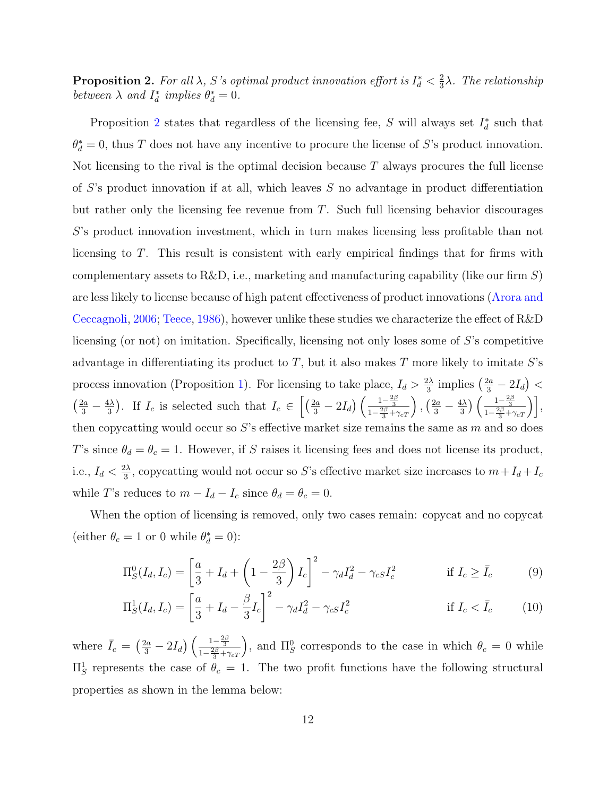<span id="page-11-0"></span>**Proposition 2.** For all  $\lambda$ , S's optimal product innovation effort is  $I_d^* < \frac{2}{3}$  $\frac{2}{3}\lambda$ . The relationship between  $\lambda$  and  $I_d^*$  implies  $\theta_d^* = 0$ .

Proposition [2](#page-11-0) states that regardless of the licensing fee, S will always set  $I_d^*$  such that  $\theta_d^* = 0$ , thus T does not have any incentive to procure the license of S's product innovation. Not licensing to the rival is the optimal decision because  $T$  always procures the full license of S's product innovation if at all, which leaves S no advantage in product differentiation but rather only the licensing fee revenue from T. Such full licensing behavior discourages S's product innovation investment, which in turn makes licensing less profitable than not licensing to T. This result is consistent with early empirical findings that for firms with complementary assets to R&D, i.e., marketing and manufacturing capability (like our firm  $S$ ) are less likely to license because of high patent effectiveness of product innovations [\(Arora and](#page-24-6) [Ceccagnoli,](#page-24-6) [2006;](#page-24-6) [Teece,](#page-29-2) [1986\)](#page-29-2), however unlike these studies we characterize the effect of R&D licensing (or not) on imitation. Specifically, licensing not only loses some of S's competitive advantage in differentiating its product to  $T$ , but it also makes  $T$  more likely to imitate  $S$ 's process innovation (Proposition [1\)](#page-10-1). For licensing to take place,  $I_d > \frac{2\lambda}{3}$  $\frac{2\lambda}{3}$  implies  $\left(\frac{2a}{3} - 2I_d\right)$  <  $\left(\frac{2a}{3} - \frac{4\lambda}{3}\right)$  $\left(\frac{1\lambda}{3}\right)$ . If  $I_c$  is selected such that  $I_c \in \left[\left(\frac{2a}{3} - 2I_d\right)\left(\frac{1-\frac{2\beta}{3}}{1-\frac{2\beta}{3}+\gamma_{cT}}\right), \left(\frac{2a}{3} - \frac{4\lambda}{3}\right)\right]$  $\frac{1\lambda}{3}$ )  $\left(\frac{1-\frac{2\beta}{3}}{1-\frac{2\beta}{3}+\gamma_{cT}}\right)$ , then copycatting would occur so  $S$ 's effective market size remains the same as  $m$  and so does T's since  $\theta_d = \theta_c = 1$ . However, if S raises it licensing fees and does not license its product, i.e.,  $I_d < \frac{2\lambda}{3}$  $\frac{d\lambda}{3}$ , copycatting would not occur so S's effective market size increases to  $m+I_d+I_c$ while T's reduces to  $m - I_d - I_c$  since  $\theta_d = \theta_c = 0$ .

When the option of licensing is removed, only two cases remain: copycat and no copycat (either  $\theta_c = 1$  or 0 while  $\theta_d^* = 0$ ):

$$
\Pi_S^0(I_d, I_c) = \left[\frac{a}{3} + I_d + \left(1 - \frac{2\beta}{3}\right)I_c\right]^2 - \gamma_d I_d^2 - \gamma_c I_c^2 \qquad \text{if } I_c \ge \bar{I}_c \tag{9}
$$

$$
\Pi_S^1(I_d, I_c) = \left[\frac{a}{3} + I_d - \frac{\beta}{3}I_c\right]^2 - \gamma_d I_d^2 - \gamma_{cs} I_c^2 \qquad \text{if } I_c < \bar{I}_c \tag{10}
$$

where  $\bar{I}_c = \left(\frac{2a}{3} - 2I_d\right) \left(\frac{1-\frac{2\beta}{3}}{1-\frac{2\beta}{3}+\gamma_{cT}}\right)$ , and  $\Pi_S^0$  corresponds to the case in which  $\theta_c = 0$  while  $\Pi_S^1$  represents the case of  $\theta_c = 1$ . The two profit functions have the following structural properties as shown in the lemma below: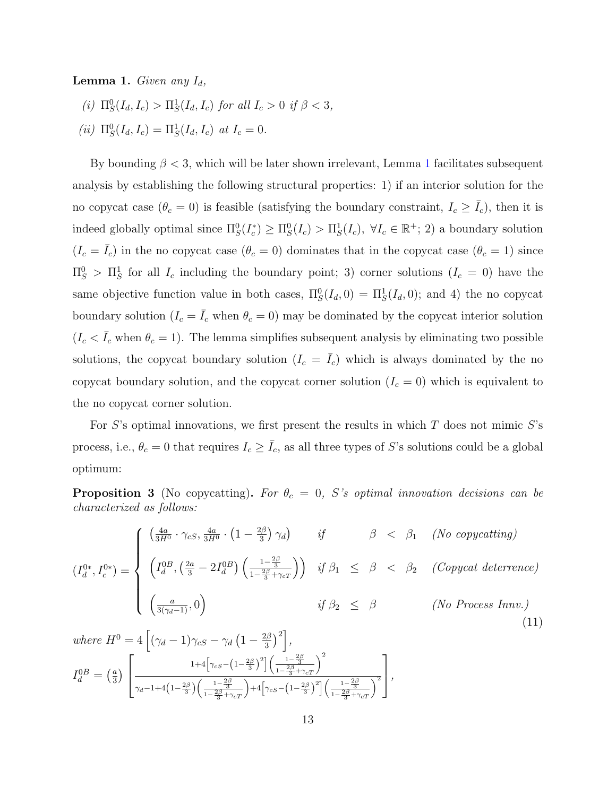<span id="page-12-0"></span>**Lemma 1.** Given any  $I_d$ ,

- (i)  $\Pi_S^0(I_d, I_c) > \Pi_S^1(I_d, I_c)$  for all  $I_c > 0$  if  $\beta < 3$ ,
- (*ii*)  $\Pi_S^0(I_d, I_c) = \Pi_S^1(I_d, I_c)$  at  $I_c = 0$ .

By bounding  $\beta < 3$ , which will be later shown irrelevant, Lemma [1](#page-12-0) facilitates subsequent analysis by establishing the following structural properties: 1) if an interior solution for the no copycat case  $(\theta_c = 0)$  is feasible (satisfying the boundary constraint,  $I_c \geq \overline{I_c}$ ), then it is indeed globally optimal since  $\Pi_S^0(I_c^*) \geq \Pi_S^0(I_c) > \Pi_S^1(I_c)$ ,  $\forall I_c \in \mathbb{R}^+$ ; 2) a boundary solution  $(I_c = \overline{I}_c)$  in the no copycat case  $(\theta_c = 0)$  dominates that in the copycat case  $(\theta_c = 1)$  since  $\Pi_S^0$  >  $\Pi_S^1$  for all  $I_c$  including the boundary point; 3) corner solutions  $(I_c = 0)$  have the same objective function value in both cases,  $\Pi_S^0(I_d, 0) = \Pi_S^1(I_d, 0)$ ; and 4) the no copycat boundary solution  $(I_c = \overline{I}_c$  when  $\theta_c = 0)$  may be dominated by the copycat interior solution  $(I_c < \overline{I_c}$  when  $\theta_c = 1)$ . The lemma simplifies subsequent analysis by eliminating two possible solutions, the copycat boundary solution  $(I_c = \overline{I}_c)$  which is always dominated by the no copycat boundary solution, and the copycat corner solution  $(I_c = 0)$  which is equivalent to the no copycat corner solution.

For S's optimal innovations, we first present the results in which  $T$  does not mimic S's process, i.e.,  $\theta_c = 0$  that requires  $I_c \ge \bar{I}_c$ , as all three types of S's solutions could be a global optimum:

<span id="page-12-1"></span>**Proposition 3** (No copycatting). For  $\theta_c = 0$ , S's optimal innovation decisions can be characterized as follows:

$$
(I_d^{0*}, I_c^{0*}) = \begin{cases} \left(\frac{4a}{3H^0} \cdot \gamma_{cS}, \frac{4a}{3H^0} \cdot \left(1 - \frac{2\beta}{3}\right) \gamma_d\right) & \text{if} \qquad \beta < \beta_1 \quad (No\ copycating) \\ \left(I_d^{0*}, I_c^{0*}\right) = \begin{cases} \left(I_d^{0B}, \left(\frac{2a}{3} - 2I_d^{0B}\right) \left(\frac{1 - \frac{2\beta}{3}}{1 - \frac{2\beta}{3} + \gamma_{cT}}\right)\right) & \text{if } \beta_1 \leq \beta < \beta_2 \quad (Copycat\, \text{deterrence}) \\ \left(\frac{a}{3(\gamma_d - 1)}, 0\right) & \text{if } \beta_2 \leq \beta \quad (No\ Process\,1n\tag{11}) \end{cases} \end{cases}
$$

where 
$$
H^0 = 4\left[ (\gamma_d - 1)\gamma_{cS} - \gamma_d \left(1 - \frac{2\beta}{3}\right)^2 \right]
$$
,  
\n
$$
I_d^{0B} = \left( \frac{a}{3} \right) \left[ \frac{1 + 4\left[ \gamma_{cS} - \left(1 - \frac{2\beta}{3}\right)^2 \right] \left( \frac{1 - \frac{2\beta}{3}}{1 - \frac{2\beta}{3} + \gamma_{cT}} \right)^2}{\gamma_d - 1 + 4\left(1 - \frac{2\beta}{3}\right) \left( \frac{1 - \frac{2\beta}{3}}{1 - \frac{2\beta}{3} + \gamma_{cT}} \right) + 4\left[ \gamma_{cS} - \left(1 - \frac{2\beta}{3}\right)^2 \right] \left( \frac{1 - \frac{2\beta}{3}}{1 - \frac{2\beta}{3} + \gamma_{cT}} \right)^2} \right],
$$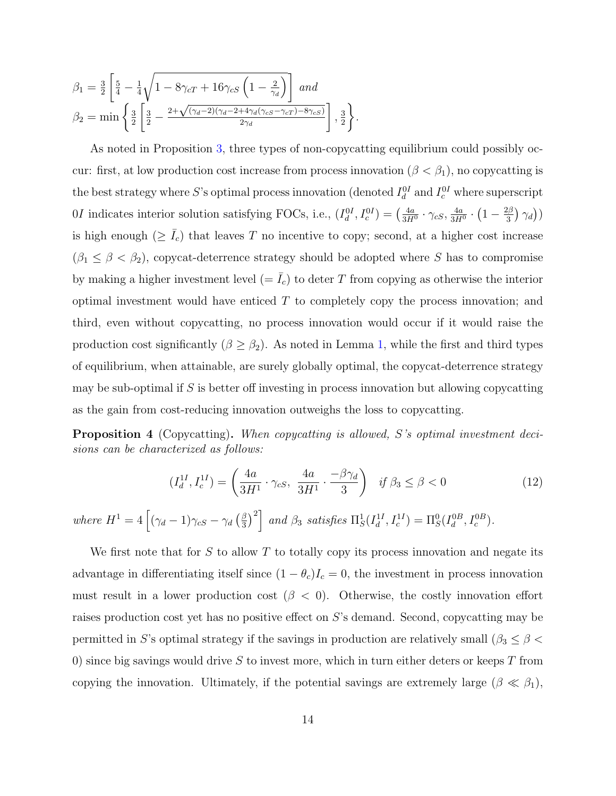$$
\beta_1 = \frac{3}{2} \left[ \frac{5}{4} - \frac{1}{4} \sqrt{1 - 8\gamma_{cT} + 16\gamma_{cS} \left(1 - \frac{2}{\gamma_d}\right)} \right] \text{ and}
$$
\n
$$
\beta_2 = \min \left\{ \frac{3}{2} \left[ \frac{3}{2} - \frac{2 + \sqrt{(\gamma_d - 2)(\gamma_d - 2 + 4\gamma_d(\gamma_{cS} - \gamma_{cT}) - 8\gamma_{cS})}}{2\gamma_d} \right], \frac{3}{2} \right\}.
$$

As noted in Proposition [3,](#page-12-1) three types of non-copycatting equilibrium could possibly occur: first, at low production cost increase from process innovation ( $\beta < \beta_1$ ), no copycatting is the best strategy where S's optimal process innovation (denoted  $I_d^{0I}$  and  $I_c^{0I}$  where superscript 0*I* indicates interior solution satisfying FOCs, i.e.,  $(I_d^{0I}, I_c^{0I}) = \left(\frac{4a}{3H}\right)$  $\frac{4a}{3H^0} \cdot \gamma_{cS}, \frac{4a}{3H}$  $\frac{4a}{3H^0} \cdot (1 - \frac{2\beta}{3})$  $(\frac{2\beta}{3})\,\gamma_d\big))$ is high enough ( $\geq \bar{I}_c$ ) that leaves T no incentive to copy; second, at a higher cost increase  $(\beta_1 \leq \beta < \beta_2)$ , copycat-deterrence strategy should be adopted where S has to compromise by making a higher investment level  $(=\bar{I}_c)$  to deter T from copying as otherwise the interior optimal investment would have enticed  $T$  to completely copy the process innovation; and third, even without copycatting, no process innovation would occur if it would raise the production cost significantly  $(\beta \ge \beta_2)$ . As noted in Lemma [1,](#page-12-0) while the first and third types of equilibrium, when attainable, are surely globally optimal, the copycat-deterrence strategy may be sub-optimal if  $S$  is better off investing in process innovation but allowing copycatting as the gain from cost-reducing innovation outweighs the loss to copycatting.

<span id="page-13-0"></span>Proposition 4 (Copycatting). When copycatting is allowed, S's optimal investment decisions can be characterized as follows:

$$
(I_d^{1I}, I_c^{1I}) = \left(\frac{4a}{3H^1} \cdot \gamma_{cS}, \ \frac{4a}{3H^1} \cdot \frac{-\beta \gamma_d}{3}\right) \ \ if \ \beta_3 \le \beta < 0 \tag{12}
$$

where  $H^1 = 4 \left[ (\gamma_d - 1) \gamma_{cS} - \gamma_d \left( \frac{\beta}{3} \right) \right]$  $\left[\frac{\beta}{3}\right]^2$  and  $\beta_3$  satisfies  $\Pi_S^1(I_d^{1I}, I_c^{1I}) = \Pi_S^0(I_d^{0B}, I_c^{0B})$ .

We first note that for  $S$  to allow  $T$  to totally copy its process innovation and negate its advantage in differentiating itself since  $(1 - \theta_c)I_c = 0$ , the investment in process innovation must result in a lower production cost  $(\beta < 0)$ . Otherwise, the costly innovation effort raises production cost yet has no positive effect on S's demand. Second, copycatting may be permitted in S's optimal strategy if the savings in production are relatively small ( $\beta_3 \leq \beta$ ) 0) since big savings would drive S to invest more, which in turn either deters or keeps  $T$  from copying the innovation. Ultimately, if the potential savings are extremely large  $(\beta \ll \beta_1)$ ,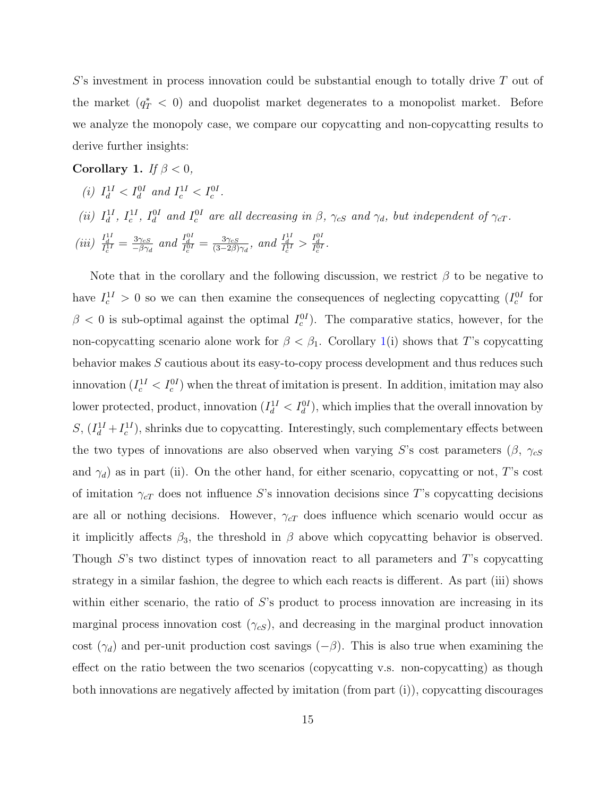$S$ 's investment in process innovation could be substantial enough to totally drive  $T$  out of the market  $(q_T^* \, < \, 0)$  and duopolist market degenerates to a monopolist market. Before we analyze the monopoly case, we compare our copycatting and non-copycatting results to derive further insights:

<span id="page-14-0"></span>Corollary 1. If  $\beta < 0$ ,

- (i)  $I_d^{1I} < I_d^{0I}$  and  $I_c^{1I} < I_c^{0I}$ .
- (ii)  $I_d^{1I}$ ,  $I_c^{1I}$ ,  $I_d^{0I}$  and  $I_c^{0I}$  are all decreasing in  $\beta$ ,  $\gamma_{cS}$  and  $\gamma_d$ , but independent of  $\gamma_{cT}$ .

(iii) 
$$
\frac{I_d^{1I}}{I_c^{1I}} = \frac{3\gamma_{cS}}{-\beta\gamma_d}
$$
 and  $\frac{I_d^{0I}}{I_c^{0I}} = \frac{3\gamma_{cS}}{(3-2\beta)\gamma_d}$ , and  $\frac{I_d^{1I}}{I_c^{1I}} > \frac{I_d^{0I}}{I_c^{0I}}$ .

Note that in the corollary and the following discussion, we restrict  $\beta$  to be negative to have  $I_c^{1I} > 0$  so we can then examine the consequences of neglecting copycatting  $(I_c^{0I})$  for  $\beta$  < 0 is sub-optimal against the optimal  $I_c^{0I}$ ). The comparative statics, however, for the non-copycatting scenario alone work for  $\beta < \beta_1$ . Corollary [1\(](#page-14-0)i) shows that T's copycatting behavior makes S cautious about its easy-to-copy process development and thus reduces such innovation  $(I_c^{11} < I_c^{0I})$  when the threat of imitation is present. In addition, imitation may also lower protected, product, innovation  $(I_d^{11} < I_d^{01})$ , which implies that the overall innovation by  $S, (I_d^{1I} + I_c^{1I})$ , shrinks due to copycatting. Interestingly, such complementary effects between the two types of innovations are also observed when varying S's cost parameters ( $\beta$ ,  $\gamma_{cS}$ and  $\gamma_d$ ) as in part (ii). On the other hand, for either scenario, copycatting or not, T's cost of imitation  $\gamma_{cT}$  does not influence S's innovation decisions since T's copycatting decisions are all or nothing decisions. However,  $\gamma_{cT}$  does influence which scenario would occur as it implicitly affects  $\beta_3$ , the threshold in  $\beta$  above which copycatting behavior is observed. Though S's two distinct types of innovation react to all parameters and T's copycatting strategy in a similar fashion, the degree to which each reacts is different. As part (iii) shows within either scenario, the ratio of  $S$ 's product to process innovation are increasing in its marginal process innovation cost  $(\gamma_{cS})$ , and decreasing in the marginal product innovation cost ( $\gamma_d$ ) and per-unit production cost savings ( $-\beta$ ). This is also true when examining the effect on the ratio between the two scenarios (copycatting v.s. non-copycatting) as though both innovations are negatively affected by imitation (from part (i)), copycatting discourages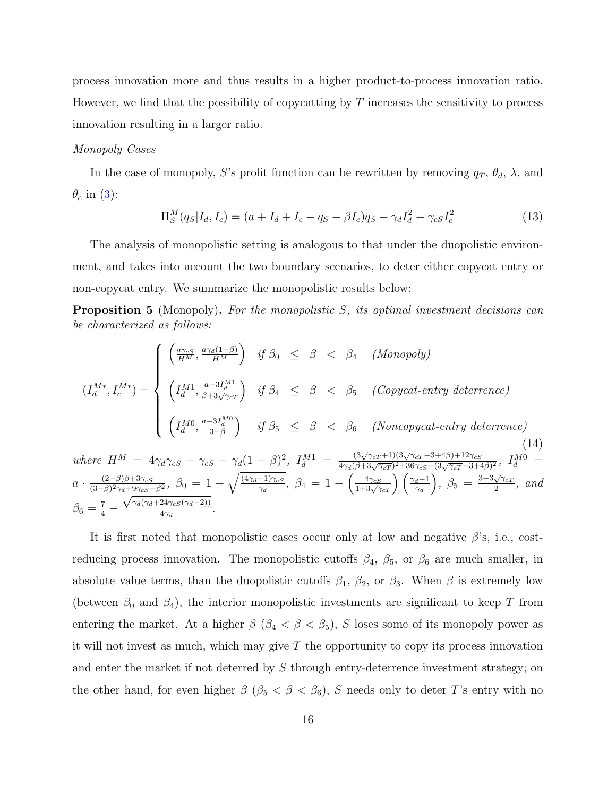process innovation more and thus results in a higher product-to-process innovation ratio. However, we find that the possibility of copycatting by  $T$  increases the sensitivity to process innovation resulting in a larger ratio.

# Monopoly Cases

In the case of monopoly, S's profit function can be rewritten by removing  $q_T$ ,  $\theta_d$ ,  $\lambda$ , and  $\theta_c$  in [\(3\)](#page-8-1):

<span id="page-15-1"></span>
$$
\Pi_S^M(q_S|I_d, I_c) = (a + I_d + I_c - q_S - \beta I_c)q_S - \gamma_d I_d^2 - \gamma_{cs} I_c^2
$$
\n(13)

The analysis of monopolistic setting is analogous to that under the duopolistic environment, and takes into account the two boundary scenarios, to deter either copycat entry or non-copycat entry. We summarize the monopolistic results below:

<span id="page-15-0"></span>**Proposition 5** (Monopoly). For the monopolistic S, its optimal investment decisions can be characterized as follows:

$$
(I_d^{M*}, I_c^{M*}) = \begin{cases} \begin{array}{l} \left(\frac{a\gamma_{cS}}{H^M}, \frac{a\gamma_d(1-\beta)}{H^M}\right) & \text{if } \beta_0 \leq \beta < \beta_4 \quad (Monopoly) \\\\ \left(I_d^{M1}, \frac{a-3I_d^{M1}}{\beta+3\sqrt{\gamma_{cT}}}\right) & \text{if } \beta_4 \leq \beta < \beta_5 \quad (Copycat-entry \, \, \text{deterrence}) \\\\ \left(I_d^{M0}, \frac{a-3I_d^{M0}}{3-\beta}\right) & \text{if } \beta_5 \leq \beta < \beta_6 \quad (Noncopycat-entry \, \, \text{deterrence}) \end{array} \end{cases} \tag{14}
$$

where  $H^M = 4\gamma_d\gamma_{cS} - \gamma_{cS} - \gamma_d(1-\beta)^2$ ,  $I_d^{M1} =$  $\frac{(3\sqrt{\gamma_c}T+1)(3\sqrt{\gamma_c}T-3+4\beta)+12\gamma_c s}{4\gamma_d(\beta+3\sqrt{\gamma_c}T)^2+36\gamma_c s-(3\sqrt{\gamma_c}T-3+4\beta)^2},$   $I_d^{M0}$  =  $a \cdot \frac{(2-\beta)\beta+3\gamma_{cS}}{(3-\beta)^2\gamma_{c}+9\gamma_{cS}}$  $\frac{(2-\beta)\beta+3\gamma_{cS}}{(3-\beta)^2\gamma_d+9\gamma_{cS}-\beta^2},\ \beta_0\,=\,1-\sqrt{\frac{(4\gamma_d-1)\gamma_{cS}}{\gamma_d}}$  $\frac{(-1)\gamma_{cS}}{\gamma_d},\ \beta_4\,=\,1\,-\,\left(\frac{4\gamma_{cS}}{1+3\sqrt{\gamma_{cT}}}\right)\left(\frac{\gamma_d-1}{\gamma_d}\right)$  $\Big), \ \beta_5 = \frac{3-3\sqrt{\gamma_{cT}}}{2}$  $\frac{\sqrt{\gamma_c_T}}{2}$ , and  $\beta_6 = \frac{7}{4}$  –  $^{t+}$  $\gamma_d(\gamma_d+24\gamma_{cS}(\gamma_d-2))$  $\frac{4\gamma_{cS}(\gamma_d - 2)}{4\gamma_d}$ .

It is first noted that monopolistic cases occur only at low and negative  $\beta$ 's, i.e., costreducing process innovation. The monopolistic cutoffs  $\beta_4$ ,  $\beta_5$ , or  $\beta_6$  are much smaller, in absolute value terms, than the duopolistic cutoffs  $\beta_1$ ,  $\beta_2$ , or  $\beta_3$ . When  $\beta$  is extremely low (between  $\beta_0$  and  $\beta_4$ ), the interior monopolistic investments are significant to keep T from entering the market. At a higher  $\beta$  ( $\beta_4 < \beta < \beta_5$ ), S loses some of its monopoly power as it will not invest as much, which may give  $T$  the opportunity to copy its process innovation and enter the market if not deterred by S through entry-deterrence investment strategy; on the other hand, for even higher  $\beta$  ( $\beta_5 < \beta < \beta_6$ ), S needs only to deter T's entry with no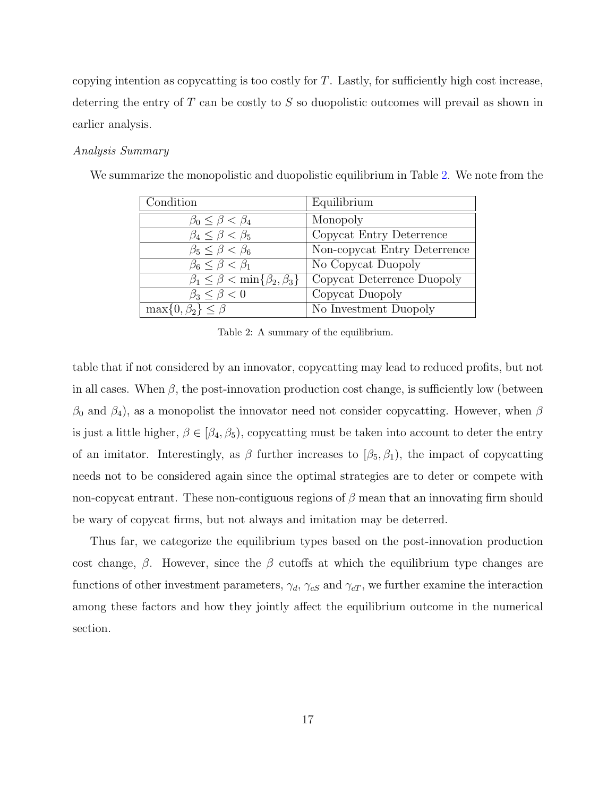copying intention as copycatting is too costly for  $T$ . Lastly, for sufficiently high cost increase, deterring the entry of T can be costly to S so duopolistic outcomes will prevail as shown in earlier analysis.

# Analysis Summary

| Condition                                       | Equilibrium                  |
|-------------------------------------------------|------------------------------|
| $\beta_0 \leq \beta < \beta_4$                  | Monopoly                     |
| $\beta_4 \leq \beta < \beta_5$                  | Copycat Entry Deterrence     |
| $\beta_5 \leq \beta < \beta_6$                  | Non-copycat Entry Deterrence |
| $\beta_6 \leq \beta < \beta_1$                  | No Copycat Duopoly           |
| $\beta_1 \leq \beta < \min\{\beta_2, \beta_3\}$ | Copycat Deterrence Duopoly   |
| $\beta_3 \leq \beta < 0$                        | Copycat Duopoly              |
| $\max\{0,\beta_2\} \leq \beta$                  | No Investment Duopoly        |

We summarize the monopolistic and duopolistic equilibrium in Table [2.](#page-16-0) We note from the

<span id="page-16-0"></span>Table 2: A summary of the equilibrium.

table that if not considered by an innovator, copycatting may lead to reduced profits, but not in all cases. When  $\beta$ , the post-innovation production cost change, is sufficiently low (between  $\beta_0$  and  $\beta_4$ ), as a monopolist the innovator need not consider copycatting. However, when  $\beta$ is just a little higher,  $\beta \in [\beta_4, \beta_5)$ , copycatting must be taken into account to deter the entry of an imitator. Interestingly, as  $\beta$  further increases to  $[\beta_5, \beta_1]$ , the impact of copycatting needs not to be considered again since the optimal strategies are to deter or compete with non-copycat entrant. These non-contiguous regions of  $\beta$  mean that an innovating firm should be wary of copycat firms, but not always and imitation may be deterred.

Thus far, we categorize the equilibrium types based on the post-innovation production cost change,  $\beta$ . However, since the  $\beta$  cutoffs at which the equilibrium type changes are functions of other investment parameters,  $\gamma_d$ ,  $\gamma_{cS}$  and  $\gamma_{cT}$ , we further examine the interaction among these factors and how they jointly affect the equilibrium outcome in the numerical section.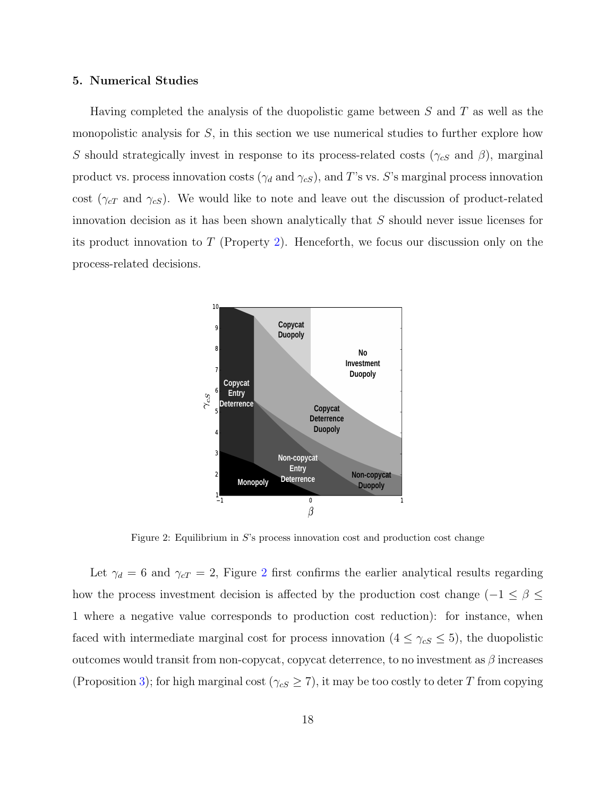#### <span id="page-17-0"></span>5. Numerical Studies

Having completed the analysis of the duopolistic game between  $S$  and  $T$  as well as the monopolistic analysis for  $S$ , in this section we use numerical studies to further explore how S should strategically invest in response to its process-related costs ( $\gamma_{cS}$  and  $\beta$ ), marginal product vs. process innovation costs ( $\gamma_d$  and  $\gamma_{cS}$ ), and T's vs. S's marginal process innovation cost ( $\gamma_{cT}$  and  $\gamma_{cS}$ ). We would like to note and leave out the discussion of product-related innovation decision as it has been shown analytically that S should never issue licenses for its product innovation to  $T$  (Property [2\)](#page-11-0). Henceforth, we focus our discussion only on the process-related decisions.



<span id="page-17-1"></span>Figure 2: Equilibrium in S's process innovation cost and production cost change

Let  $\gamma_d = 6$  and  $\gamma_{cT} = 2$  $\gamma_{cT} = 2$ , Figure 2 first confirms the earlier analytical results regarding how the process investment decision is affected by the production cost change ( $-1 \le \beta \le$ 1 where a negative value corresponds to production cost reduction): for instance, when faced with intermediate marginal cost for process innovation ( $4 \leq \gamma_{cS} \leq 5$ ), the duopolistic outcomes would transit from non-copycat, copycat deterrence, to no investment as  $\beta$  increases (Proposition [3\)](#page-12-1); for high marginal cost ( $\gamma_{cS} \geq 7$ ), it may be too costly to deter T from copying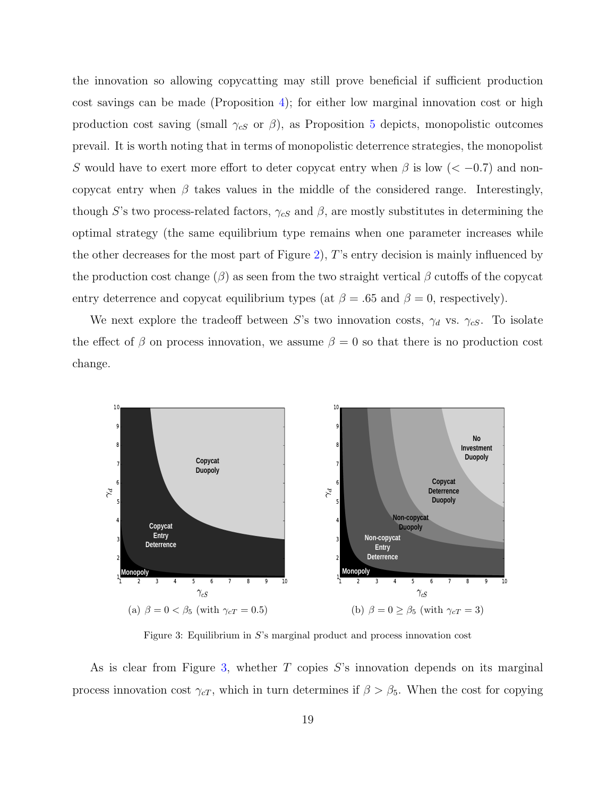the innovation so allowing copycatting may still prove beneficial if sufficient production cost savings can be made (Proposition [4\)](#page-13-0); for either low marginal innovation cost or high production cost saving (small  $\gamma_{cS}$  or  $\beta$ ), as Proposition [5](#page-15-0) depicts, monopolistic outcomes prevail. It is worth noting that in terms of monopolistic deterrence strategies, the monopolist S would have to exert more effort to deter copycat entry when  $\beta$  is low ( $\lt$  -0.7) and noncopycat entry when  $\beta$  takes values in the middle of the considered range. Interestingly, though S's two process-related factors,  $\gamma_{cS}$  and  $\beta$ , are mostly substitutes in determining the optimal strategy (the same equilibrium type remains when one parameter increases while the other decreases for the most part of Figure [2\)](#page-17-1), T's entry decision is mainly influenced by the production cost change  $(\beta)$  as seen from the two straight vertical  $\beta$  cutoffs of the copycat entry deterrence and copycat equilibrium types (at  $\beta = .65$  and  $\beta = 0$ , respectively).

We next explore the tradeoff between S's two innovation costs,  $\gamma_d$  vs.  $\gamma_{cS}$ . To isolate the effect of  $\beta$  on process innovation, we assume  $\beta = 0$  so that there is no production cost change.

<span id="page-18-1"></span>

<span id="page-18-2"></span><span id="page-18-0"></span>Figure 3: Equilibrium in S's marginal product and process innovation cost

As is clear from Figure [3,](#page-18-0) whether  $T$  copies  $S$ 's innovation depends on its marginal process innovation cost  $\gamma_{cT}$ , which in turn determines if  $\beta > \beta_5$ . When the cost for copying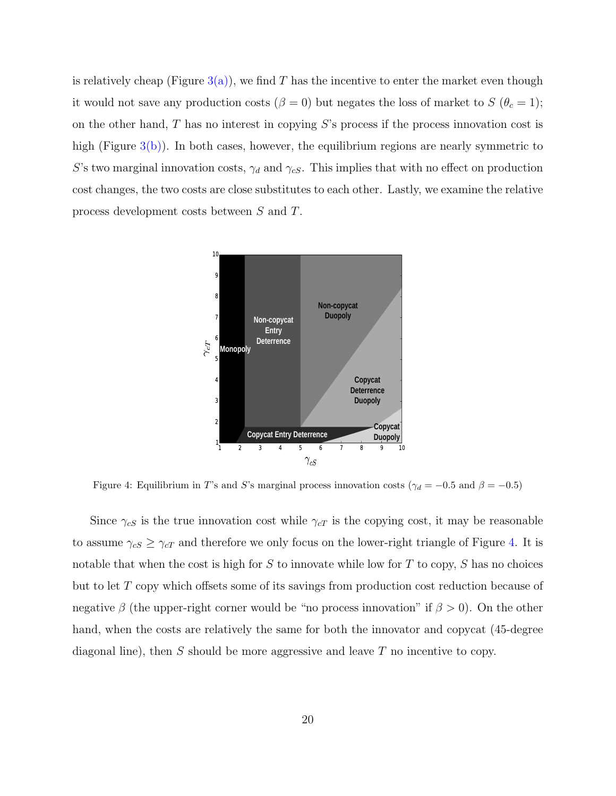is relatively cheap (Figure  $3(a)$ ), we find T has the incentive to enter the market even though it would not save any production costs ( $\beta = 0$ ) but negates the loss of market to  $S(\theta_c = 1)$ ; on the other hand,  $T$  has no interest in copying  $S$ 's process if the process innovation cost is high (Figure  $3(b)$ ). In both cases, however, the equilibrium regions are nearly symmetric to S's two marginal innovation costs,  $\gamma_d$  and  $\gamma_{cS}$ . This implies that with no effect on production cost changes, the two costs are close substitutes to each other. Lastly, we examine the relative process development costs between S and T.



<span id="page-19-0"></span>Figure 4: Equilibrium in T's and S's marginal process innovation costs ( $\gamma_d = -0.5$  and  $\beta = -0.5$ )

Since  $\gamma_{cS}$  is the true innovation cost while  $\gamma_{cT}$  is the copying cost, it may be reasonable to assume  $\gamma_{cS} \geq \gamma_{cT}$  and therefore we only focus on the lower-right triangle of Figure [4.](#page-19-0) It is notable that when the cost is high for S to innovate while low for T to copy, S has no choices but to let T copy which offsets some of its savings from production cost reduction because of negative  $\beta$  (the upper-right corner would be "no process innovation" if  $\beta > 0$ ). On the other hand, when the costs are relatively the same for both the innovator and copycat (45-degree diagonal line), then  $S$  should be more aggressive and leave  $T$  no incentive to copy.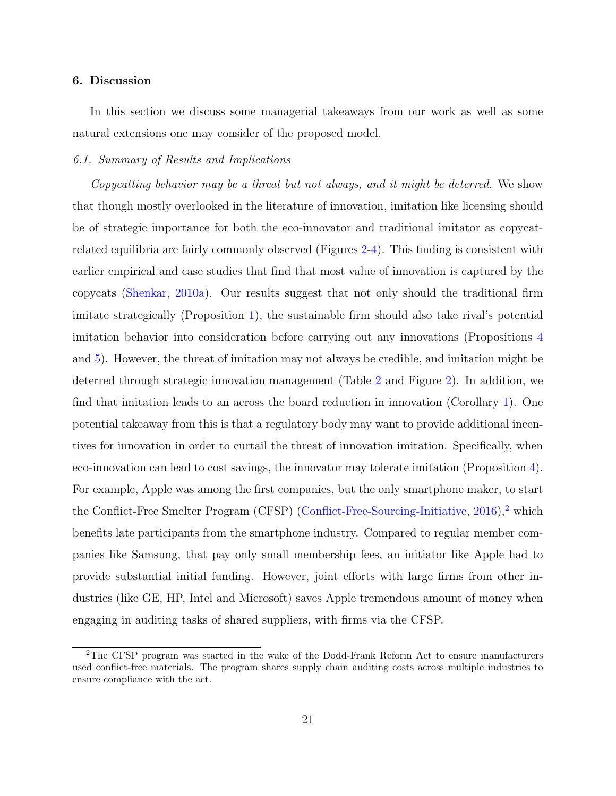#### <span id="page-20-1"></span>6. Discussion

In this section we discuss some managerial takeaways from our work as well as some natural extensions one may consider of the proposed model.

# 6.1. Summary of Results and Implications

Copycatting behavior may be a threat but not always, and it might be deterred. We show that though mostly overlooked in the literature of innovation, imitation like licensing should be of strategic importance for both the eco-innovator and traditional imitator as copycatrelated equilibria are fairly commonly observed (Figures [2-](#page-17-1)[4\)](#page-19-0). This finding is consistent with earlier empirical and case studies that find that most value of innovation is captured by the copycats [\(Shenkar,](#page-29-3) [2010a\)](#page-29-3). Our results suggest that not only should the traditional firm imitate strategically (Proposition [1\)](#page-10-1), the sustainable firm should also take rival's potential imitation behavior into consideration before carrying out any innovations (Propositions [4](#page-13-0) and [5\)](#page-15-0). However, the threat of imitation may not always be credible, and imitation might be deterred through strategic innovation management (Table [2](#page-16-0) and Figure [2\)](#page-17-1). In addition, we find that imitation leads to an across the board reduction in innovation (Corollary [1\)](#page-14-0). One potential takeaway from this is that a regulatory body may want to provide additional incentives for innovation in order to curtail the threat of innovation imitation. Specifically, when eco-innovation can lead to cost savings, the innovator may tolerate imitation (Proposition [4\)](#page-13-0). For example, Apple was among the first companies, but the only smartphone maker, to start the Conflict-Free Smelter Program (CFSP) [\(Conflict-Free-Sourcing-Initiative,](#page-26-9)  $2016$  $2016$ ),<sup>2</sup> which benefits late participants from the smartphone industry. Compared to regular member companies like Samsung, that pay only small membership fees, an initiator like Apple had to provide substantial initial funding. However, joint efforts with large firms from other industries (like GE, HP, Intel and Microsoft) saves Apple tremendous amount of money when engaging in auditing tasks of shared suppliers, with firms via the CFSP.

<span id="page-20-0"></span><sup>2</sup>The CFSP program was started in the wake of the Dodd-Frank Reform Act to ensure manufacturers used conflict-free materials. The program shares supply chain auditing costs across multiple industries to ensure compliance with the act.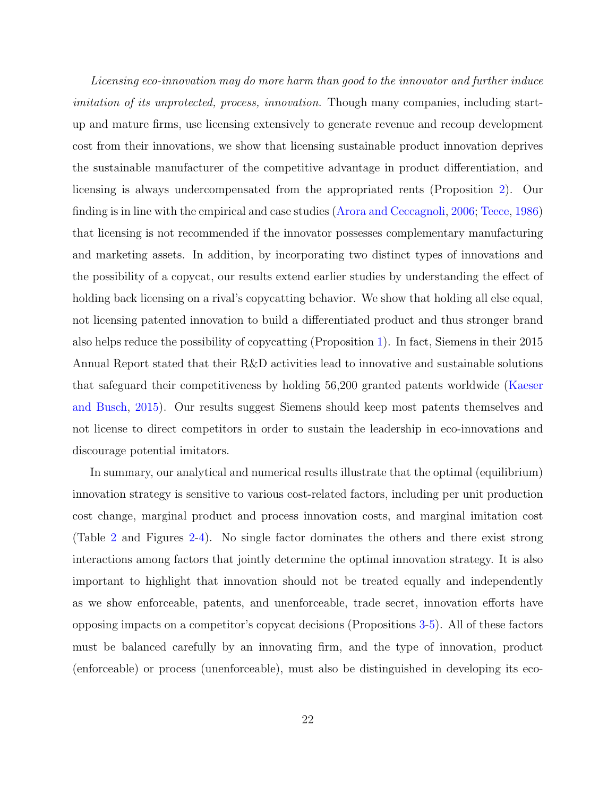Licensing eco-innovation may do more harm than good to the innovator and further induce imitation of its unprotected, process, innovation. Though many companies, including startup and mature firms, use licensing extensively to generate revenue and recoup development cost from their innovations, we show that licensing sustainable product innovation deprives the sustainable manufacturer of the competitive advantage in product differentiation, and licensing is always undercompensated from the appropriated rents (Proposition [2\)](#page-11-0). Our finding is in line with the empirical and case studies [\(Arora and Ceccagnoli,](#page-24-6) [2006;](#page-24-6) [Teece,](#page-29-2) [1986\)](#page-29-2) that licensing is not recommended if the innovator possesses complementary manufacturing and marketing assets. In addition, by incorporating two distinct types of innovations and the possibility of a copycat, our results extend earlier studies by understanding the effect of holding back licensing on a rival's copycatting behavior. We show that holding all else equal, not licensing patented innovation to build a differentiated product and thus stronger brand also helps reduce the possibility of copycatting (Proposition [1\)](#page-10-1). In fact, Siemens in their 2015 Annual Report stated that their R&D activities lead to innovative and sustainable solutions that safeguard their competitiveness by holding 56,200 granted patents worldwide [\(Kaeser](#page-27-9) [and Busch,](#page-27-9) [2015\)](#page-27-9). Our results suggest Siemens should keep most patents themselves and not license to direct competitors in order to sustain the leadership in eco-innovations and discourage potential imitators.

In summary, our analytical and numerical results illustrate that the optimal (equilibrium) innovation strategy is sensitive to various cost-related factors, including per unit production cost change, marginal product and process innovation costs, and marginal imitation cost (Table [2](#page-16-0) and Figures [2-](#page-17-1)[4\)](#page-19-0). No single factor dominates the others and there exist strong interactions among factors that jointly determine the optimal innovation strategy. It is also important to highlight that innovation should not be treated equally and independently as we show enforceable, patents, and unenforceable, trade secret, innovation efforts have opposing impacts on a competitor's copycat decisions (Propositions [3-](#page-12-1)[5\)](#page-15-0). All of these factors must be balanced carefully by an innovating firm, and the type of innovation, product (enforceable) or process (unenforceable), must also be distinguished in developing its eco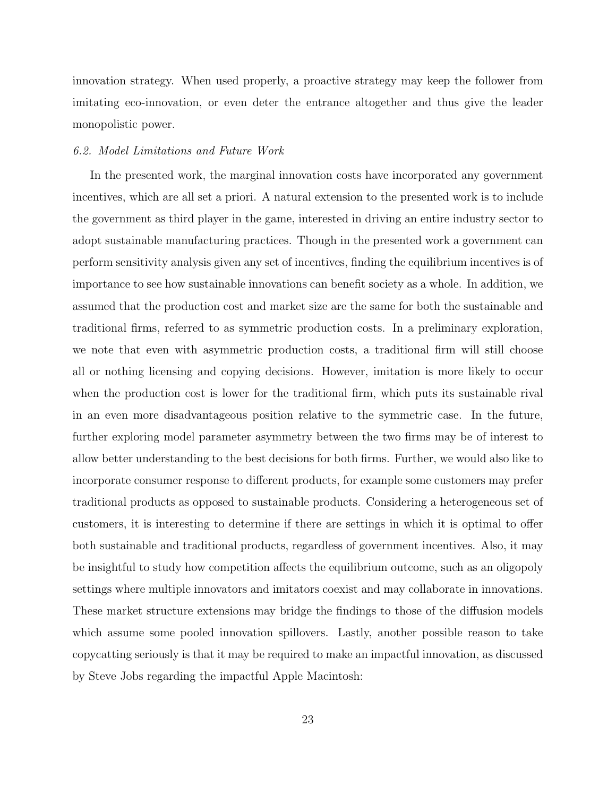innovation strategy. When used properly, a proactive strategy may keep the follower from imitating eco-innovation, or even deter the entrance altogether and thus give the leader monopolistic power.

#### 6.2. Model Limitations and Future Work

In the presented work, the marginal innovation costs have incorporated any government incentives, which are all set a priori. A natural extension to the presented work is to include the government as third player in the game, interested in driving an entire industry sector to adopt sustainable manufacturing practices. Though in the presented work a government can perform sensitivity analysis given any set of incentives, finding the equilibrium incentives is of importance to see how sustainable innovations can benefit society as a whole. In addition, we assumed that the production cost and market size are the same for both the sustainable and traditional firms, referred to as symmetric production costs. In a preliminary exploration, we note that even with asymmetric production costs, a traditional firm will still choose all or nothing licensing and copying decisions. However, imitation is more likely to occur when the production cost is lower for the traditional firm, which puts its sustainable rival in an even more disadvantageous position relative to the symmetric case. In the future, further exploring model parameter asymmetry between the two firms may be of interest to allow better understanding to the best decisions for both firms. Further, we would also like to incorporate consumer response to different products, for example some customers may prefer traditional products as opposed to sustainable products. Considering a heterogeneous set of customers, it is interesting to determine if there are settings in which it is optimal to offer both sustainable and traditional products, regardless of government incentives. Also, it may be insightful to study how competition affects the equilibrium outcome, such as an oligopoly settings where multiple innovators and imitators coexist and may collaborate in innovations. These market structure extensions may bridge the findings to those of the diffusion models which assume some pooled innovation spillovers. Lastly, another possible reason to take copycatting seriously is that it may be required to make an impactful innovation, as discussed by Steve Jobs regarding the impactful Apple Macintosh: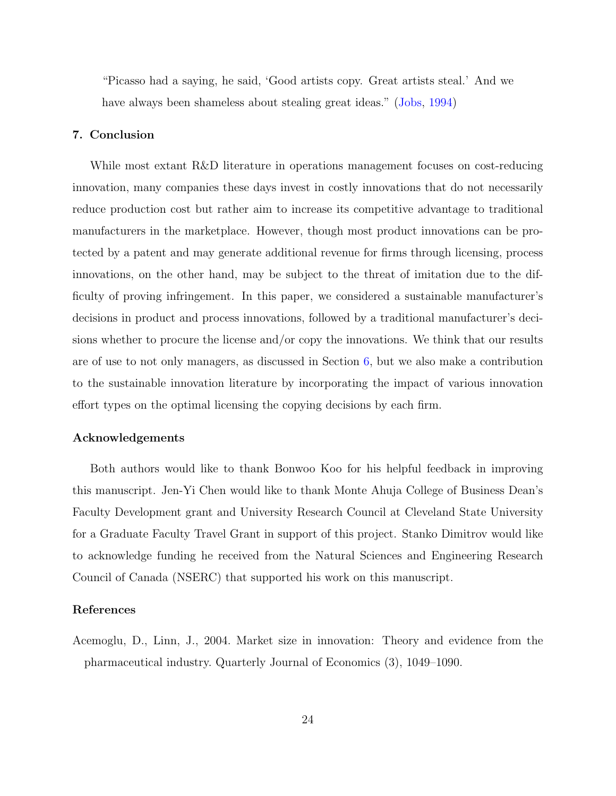"Picasso had a saying, he said, 'Good artists copy. Great artists steal.' And we have always been shameless about stealing great ideas." [\(Jobs,](#page-27-10) [1994\)](#page-27-10)

#### <span id="page-23-0"></span>7. Conclusion

While most extant R&D literature in operations management focuses on cost-reducing innovation, many companies these days invest in costly innovations that do not necessarily reduce production cost but rather aim to increase its competitive advantage to traditional manufacturers in the marketplace. However, though most product innovations can be protected by a patent and may generate additional revenue for firms through licensing, process innovations, on the other hand, may be subject to the threat of imitation due to the difficulty of proving infringement. In this paper, we considered a sustainable manufacturer's decisions in product and process innovations, followed by a traditional manufacturer's decisions whether to procure the license and/or copy the innovations. We think that our results are of use to not only managers, as discussed in Section [6,](#page-20-1) but we also make a contribution to the sustainable innovation literature by incorporating the impact of various innovation effort types on the optimal licensing the copying decisions by each firm.

## Acknowledgements

Both authors would like to thank Bonwoo Koo for his helpful feedback in improving this manuscript. Jen-Yi Chen would like to thank Monte Ahuja College of Business Dean's Faculty Development grant and University Research Council at Cleveland State University for a Graduate Faculty Travel Grant in support of this project. Stanko Dimitrov would like to acknowledge funding he received from the Natural Sciences and Engineering Research Council of Canada (NSERC) that supported his work on this manuscript.

#### References

<span id="page-23-1"></span>Acemoglu, D., Linn, J., 2004. Market size in innovation: Theory and evidence from the pharmaceutical industry. Quarterly Journal of Economics (3), 1049–1090.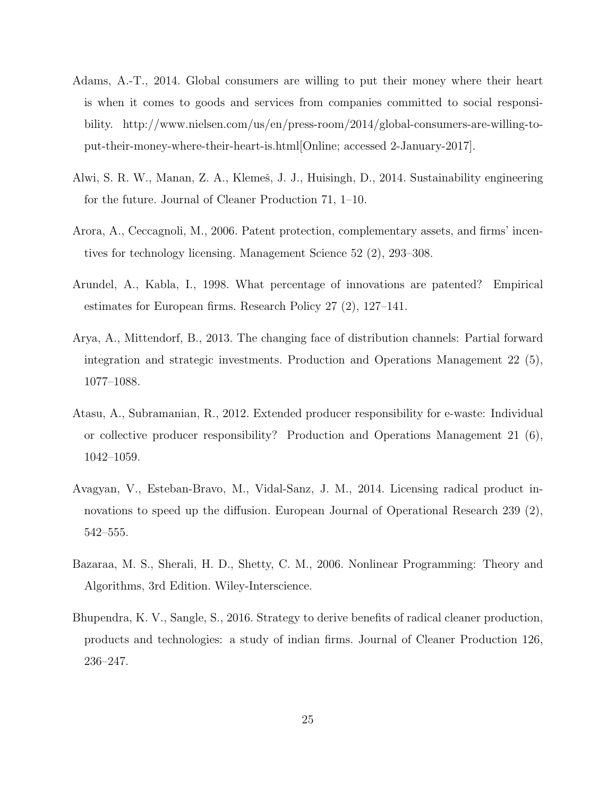- <span id="page-24-0"></span>Adams, A.-T., 2014. Global consumers are willing to put their money where their heart is when it comes to goods and services from companies committed to social responsibility. http://www.nielsen.com/us/en/press-room/2014/global-consumers-are-willing-toput-their-money-where-their-heart-is.html[Online; accessed 2-January-2017].
- <span id="page-24-2"></span>Alwi, S. R. W., Manan, Z. A., Klemeš, J. J., Huisingh, D., 2014. Sustainability engineering for the future. Journal of Cleaner Production 71, 1–10.
- <span id="page-24-6"></span>Arora, A., Ceccagnoli, M., 2006. Patent protection, complementary assets, and firms' incentives for technology licensing. Management Science 52 (2), 293–308.
- <span id="page-24-3"></span>Arundel, A., Kabla, I., 1998. What percentage of innovations are patented? Empirical estimates for European firms. Research Policy 27 (2), 127–141.
- <span id="page-24-7"></span>Arya, A., Mittendorf, B., 2013. The changing face of distribution channels: Partial forward integration and strategic investments. Production and Operations Management 22 (5), 1077–1088.
- <span id="page-24-5"></span>Atasu, A., Subramanian, R., 2012. Extended producer responsibility for e-waste: Individual or collective producer responsibility? Production and Operations Management 21 (6), 1042–1059.
- <span id="page-24-4"></span>Avagyan, V., Esteban-Bravo, M., Vidal-Sanz, J. M., 2014. Licensing radical product innovations to speed up the diffusion. European Journal of Operational Research 239 (2), 542–555.
- <span id="page-24-8"></span>Bazaraa, M. S., Sherali, H. D., Shetty, C. M., 2006. Nonlinear Programming: Theory and Algorithms, 3rd Edition. Wiley-Interscience.
- <span id="page-24-1"></span>Bhupendra, K. V., Sangle, S., 2016. Strategy to derive benefits of radical cleaner production, products and technologies: a study of indian firms. Journal of Cleaner Production 126, 236–247.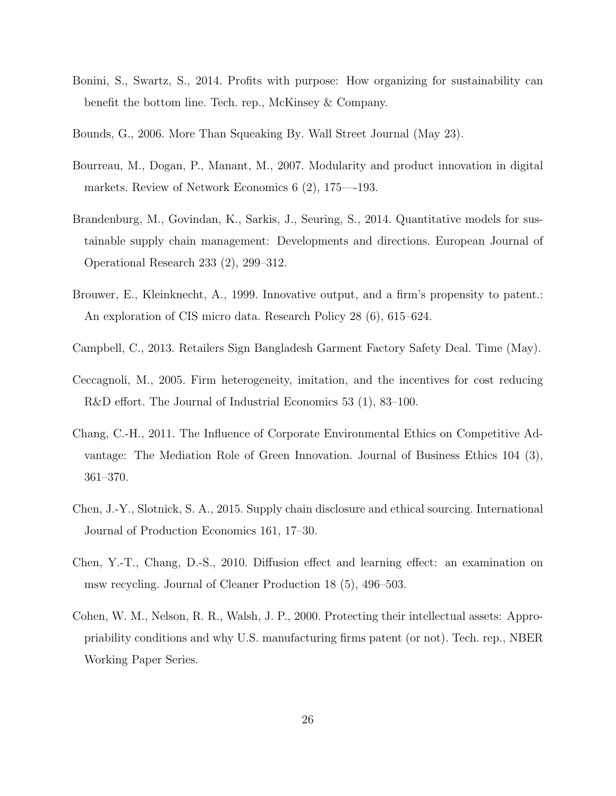- <span id="page-25-1"></span>Bonini, S., Swartz, S., 2014. Profits with purpose: How organizing for sustainability can benefit the bottom line. Tech. rep., McKinsey & Company.
- <span id="page-25-2"></span>Bounds, G., 2006. More Than Squeaking By. Wall Street Journal (May 23).
- <span id="page-25-10"></span>Bourreau, M., Dogan, P., Manant, M., 2007. Modularity and product innovation in digital markets. Review of Network Economics 6 (2), 175—-193.
- <span id="page-25-3"></span>Brandenburg, M., Govindan, K., Sarkis, J., Seuring, S., 2014. Quantitative models for sustainable supply chain management: Developments and directions. European Journal of Operational Research 233 (2), 299–312.
- <span id="page-25-6"></span>Brouwer, E., Kleinknecht, A., 1999. Innovative output, and a firm's propensity to patent.: An exploration of CIS micro data. Research Policy 28 (6), 615–624.
- <span id="page-25-0"></span>Campbell, C., 2013. Retailers Sign Bangladesh Garment Factory Safety Deal. Time (May).
- <span id="page-25-9"></span>Ceccagnoli, M., 2005. Firm heterogeneity, imitation, and the incentives for cost reducing R&D effort. The Journal of Industrial Economics 53 (1), 83–100.
- <span id="page-25-4"></span>Chang, C.-H., 2011. The Influence of Corporate Environmental Ethics on Competitive Advantage: The Mediation Role of Green Innovation. Journal of Business Ethics 104 (3), 361–370.
- <span id="page-25-8"></span>Chen, J.-Y., Slotnick, S. A., 2015. Supply chain disclosure and ethical sourcing. International Journal of Production Economics 161, 17–30.
- <span id="page-25-5"></span>Chen, Y.-T., Chang, D.-S., 2010. Diffusion effect and learning effect: an examination on msw recycling. Journal of Cleaner Production 18 (5), 496–503.
- <span id="page-25-7"></span>Cohen, W. M., Nelson, R. R., Walsh, J. P., 2000. Protecting their intellectual assets: Appropriability conditions and why U.S. manufacturing firms patent (or not). Tech. rep., NBER Working Paper Series.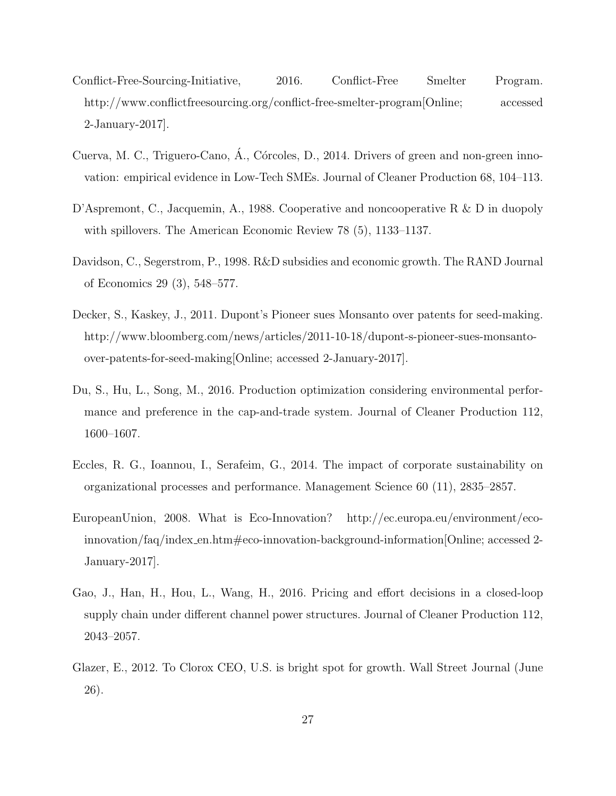- <span id="page-26-9"></span>Conflict-Free-Sourcing-Initiative, 2016. Conflict-Free Smelter Program. http://www.conflictfreesourcing.org/conflict-free-smelter-program[Online; accessed 2-January-2017].
- <span id="page-26-4"></span>Cuerva, M. C., Triguero-Cano, Á., Córcoles, D., 2014. Drivers of green and non-green innovation: empirical evidence in Low-Tech SMEs. Journal of Cleaner Production 68, 104–113.
- <span id="page-26-8"></span>D'Aspremont, C., Jacquemin, A., 1988. Cooperative and noncooperative R & D in duopoly with spillovers. The American Economic Review 78 (5), 1133–1137.
- <span id="page-26-5"></span>Davidson, C., Segerstrom, P., 1998. R&D subsidies and economic growth. The RAND Journal of Economics 29 (3), 548–577.
- <span id="page-26-2"></span>Decker, S., Kaskey, J., 2011. Dupont's Pioneer sues Monsanto over patents for seed-making. http://www.bloomberg.com/news/articles/2011-10-18/dupont-s-pioneer-sues-monsantoover-patents-for-seed-making[Online; accessed 2-January-2017].
- <span id="page-26-6"></span>Du, S., Hu, L., Song, M., 2016. Production optimization considering environmental performance and preference in the cap-and-trade system. Journal of Cleaner Production 112, 1600–1607.
- <span id="page-26-1"></span>Eccles, R. G., Ioannou, I., Serafeim, G., 2014. The impact of corporate sustainability on organizational processes and performance. Management Science 60 (11), 2835–2857.
- <span id="page-26-0"></span>EuropeanUnion, 2008. What is Eco-Innovation? http://ec.europa.eu/environment/ecoinnovation/faq/index en.htm#eco-innovation-background-information[Online; accessed 2- January-2017].
- <span id="page-26-7"></span>Gao, J., Han, H., Hou, L., Wang, H., 2016. Pricing and effort decisions in a closed-loop supply chain under different channel power structures. Journal of Cleaner Production 112, 2043–2057.
- <span id="page-26-3"></span>Glazer, E., 2012. To Clorox CEO, U.S. is bright spot for growth. Wall Street Journal (June 26).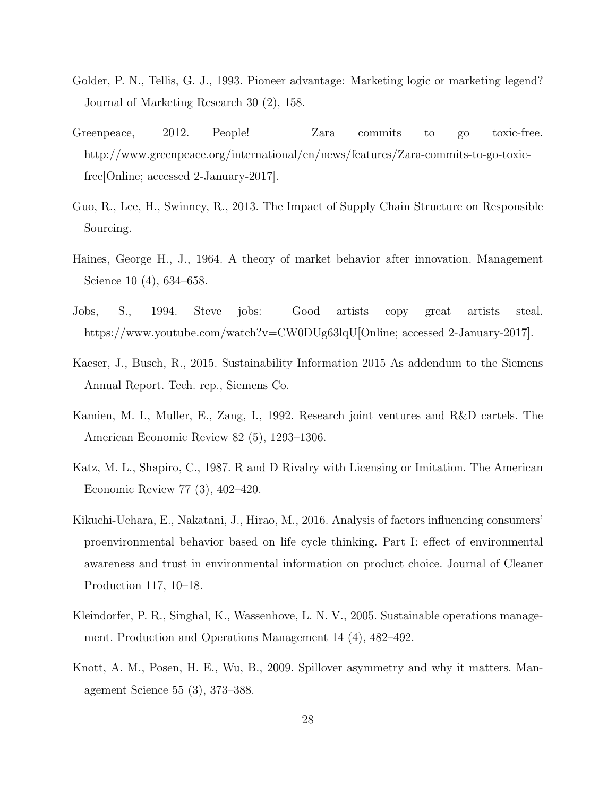- <span id="page-27-1"></span>Golder, P. N., Tellis, G. J., 1993. Pioneer advantage: Marketing logic or marketing legend? Journal of Marketing Research 30 (2), 158.
- <span id="page-27-0"></span>Greenpeace, 2012. People! Zara commits to go toxic-free. http://www.greenpeace.org/international/en/news/features/Zara-commits-to-go-toxicfree[Online; accessed 2-January-2017].
- <span id="page-27-7"></span>Guo, R., Lee, H., Swinney, R., 2013. The Impact of Supply Chain Structure on Responsible Sourcing.
- <span id="page-27-8"></span>Haines, George H., J., 1964. A theory of market behavior after innovation. Management Science 10 (4), 634–658.
- <span id="page-27-10"></span>Jobs, S., 1994. Steve jobs: Good artists copy great artists steal. https://www.youtube.com/watch?v=CW0DUg63lqU[Online; accessed 2-January-2017].
- <span id="page-27-9"></span>Kaeser, J., Busch, R., 2015. Sustainability Information 2015 As addendum to the Siemens Annual Report. Tech. rep., Siemens Co.
- <span id="page-27-5"></span>Kamien, M. I., Muller, E., Zang, I., 1992. Research joint ventures and R&D cartels. The American Economic Review 82 (5), 1293–1306.
- <span id="page-27-6"></span>Katz, M. L., Shapiro, C., 1987. R and D Rivalry with Licensing or Imitation. The American Economic Review 77 (3), 402–420.
- <span id="page-27-3"></span>Kikuchi-Uehara, E., Nakatani, J., Hirao, M., 2016. Analysis of factors influencing consumers' proenvironmental behavior based on life cycle thinking. Part I: effect of environmental awareness and trust in environmental information on product choice. Journal of Cleaner Production 117, 10–18.
- <span id="page-27-2"></span>Kleindorfer, P. R., Singhal, K., Wassenhove, L. N. V., 2005. Sustainable operations management. Production and Operations Management 14 (4), 482–492.
- <span id="page-27-4"></span>Knott, A. M., Posen, H. E., Wu, B., 2009. Spillover asymmetry and why it matters. Management Science 55 (3), 373–388.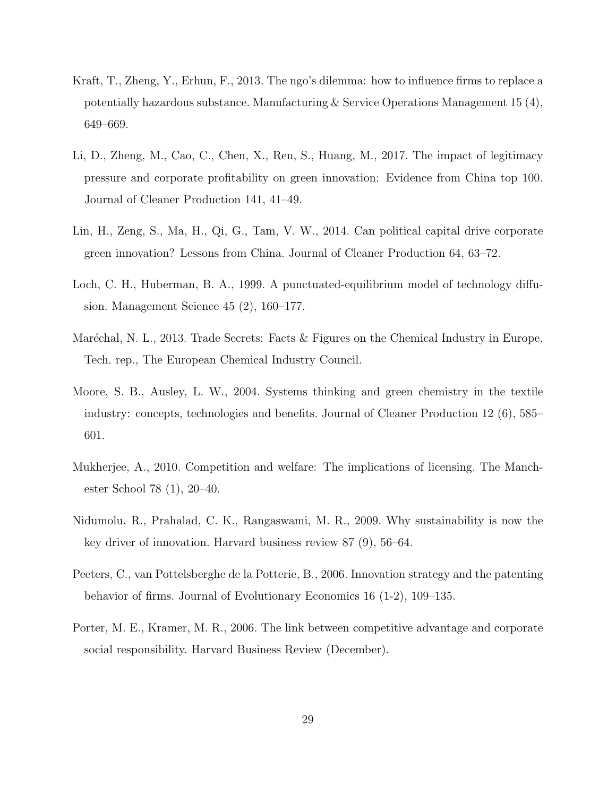- <span id="page-28-7"></span>Kraft, T., Zheng, Y., Erhun, F., 2013. The ngo's dilemma: how to influence firms to replace a potentially hazardous substance. Manufacturing & Service Operations Management 15 (4), 649–669.
- <span id="page-28-3"></span>Li, D., Zheng, M., Cao, C., Chen, X., Ren, S., Huang, M., 2017. The impact of legitimacy pressure and corporate profitability on green innovation: Evidence from China top 100. Journal of Cleaner Production 141, 41–49.
- <span id="page-28-4"></span>Lin, H., Zeng, S., Ma, H., Qi, G., Tam, V. W., 2014. Can political capital drive corporate green innovation? Lessons from China. Journal of Cleaner Production 64, 63–72.
- <span id="page-28-5"></span>Loch, C. H., Huberman, B. A., 1999. A punctuated-equilibrium model of technology diffusion. Management Science 45 (2), 160–177.
- <span id="page-28-2"></span>Maréchal, N. L., 2013. Trade Secrets: Facts & Figures on the Chemical Industry in Europe. Tech. rep., The European Chemical Industry Council.
- <span id="page-28-1"></span>Moore, S. B., Ausley, L. W., 2004. Systems thinking and green chemistry in the textile industry: concepts, technologies and benefits. Journal of Cleaner Production 12 (6), 585– 601.
- <span id="page-28-8"></span>Mukherjee, A., 2010. Competition and welfare: The implications of licensing. The Manchester School 78 (1), 20–40.
- <span id="page-28-9"></span>Nidumolu, R., Prahalad, C. K., Rangaswami, M. R., 2009. Why sustainability is now the key driver of innovation. Harvard business review 87 (9), 56–64.
- <span id="page-28-6"></span>Peeters, C., van Pottelsberghe de la Potterie, B., 2006. Innovation strategy and the patenting behavior of firms. Journal of Evolutionary Economics 16 (1-2), 109–135.
- <span id="page-28-0"></span>Porter, M. E., Kramer, M. R., 2006. The link between competitive advantage and corporate social responsibility. Harvard Business Review (December).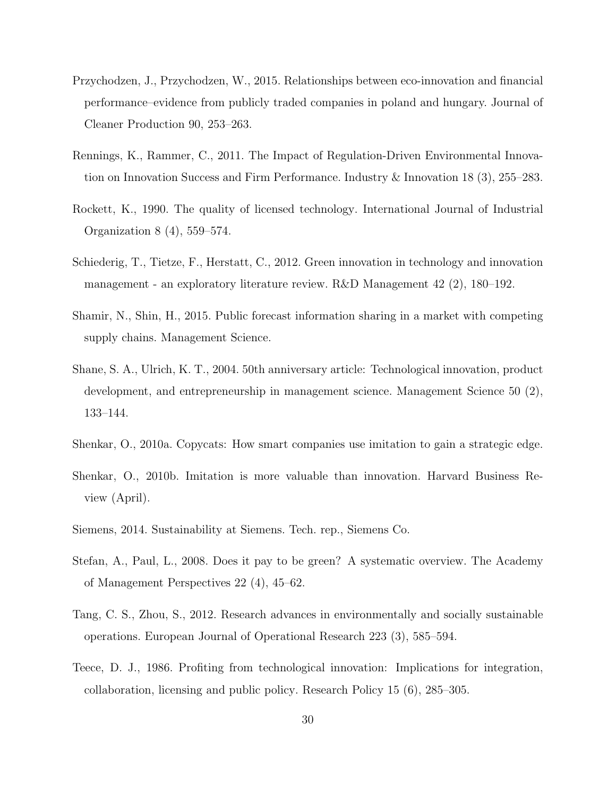- <span id="page-29-1"></span>Przychodzen, J., Przychodzen, W., 2015. Relationships between eco-innovation and financial performance–evidence from publicly traded companies in poland and hungary. Journal of Cleaner Production 90, 253–263.
- <span id="page-29-6"></span>Rennings, K., Rammer, C., 2011. The Impact of Regulation-Driven Environmental Innovation on Innovation Success and Firm Performance. Industry & Innovation 18 (3), 255–283.
- <span id="page-29-10"></span>Rockett, K., 1990. The quality of licensed technology. International Journal of Industrial Organization 8 (4), 559–574.
- <span id="page-29-7"></span>Schiederig, T., Tietze, F., Herstatt, C., 2012. Green innovation in technology and innovation management - an exploratory literature review. R&D Management 42 (2), 180–192.
- <span id="page-29-9"></span>Shamir, N., Shin, H., 2015. Public forecast information sharing in a market with competing supply chains. Management Science.
- <span id="page-29-8"></span>Shane, S. A., Ulrich, K. T., 2004. 50th anniversary article: Technological innovation, product development, and entrepreneurship in management science. Management Science 50 (2), 133–144.
- <span id="page-29-3"></span>Shenkar, O., 2010a. Copycats: How smart companies use imitation to gain a strategic edge.
- <span id="page-29-4"></span>Shenkar, O., 2010b. Imitation is more valuable than innovation. Harvard Business Review (April).
- <span id="page-29-0"></span>Siemens, 2014. Sustainability at Siemens. Tech. rep., Siemens Co.
- <span id="page-29-11"></span>Stefan, A., Paul, L., 2008. Does it pay to be green? A systematic overview. The Academy of Management Perspectives 22 (4), 45–62.
- <span id="page-29-5"></span>Tang, C. S., Zhou, S., 2012. Research advances in environmentally and socially sustainable operations. European Journal of Operational Research 223 (3), 585–594.
- <span id="page-29-2"></span>Teece, D. J., 1986. Profiting from technological innovation: Implications for integration, collaboration, licensing and public policy. Research Policy 15 (6), 285–305.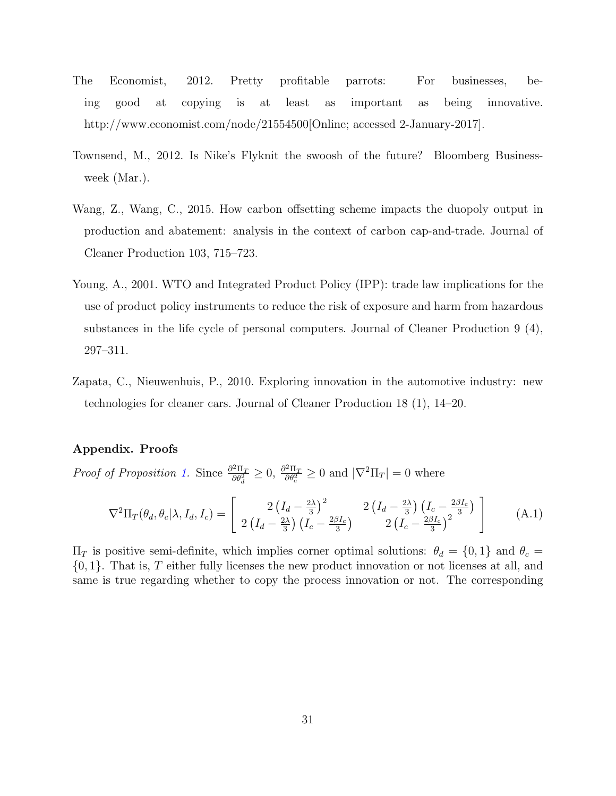- <span id="page-30-3"></span>The Economist, 2012. Pretty profitable parrots: For businesses, being good at copying is at least as important as being innovative. http://www.economist.com/node/21554500 [Online; accessed 2-January-2017].
- <span id="page-30-2"></span>Townsend, M., 2012. Is Nike's Flyknit the swoosh of the future? Bloomberg Businessweek (Mar.).
- <span id="page-30-4"></span>Wang, Z., Wang, C., 2015. How carbon offsetting scheme impacts the duopoly output in production and abatement: analysis in the context of carbon cap-and-trade. Journal of Cleaner Production 103, 715–723.
- <span id="page-30-1"></span>Young, A., 2001. WTO and Integrated Product Policy (IPP): trade law implications for the use of product policy instruments to reduce the risk of exposure and harm from hazardous substances in the life cycle of personal computers. Journal of Cleaner Production 9 (4), 297–311.
- <span id="page-30-0"></span>Zapata, C., Nieuwenhuis, P., 2010. Exploring innovation in the automotive industry: new technologies for cleaner cars. Journal of Cleaner Production 18 (1), 14–20.

# Appendix. Proofs

*Proof of Proposition [1.](#page-10-1)* Since  $\frac{\partial^2 \Pi_T}{\partial \theta^2}$  $\frac{\partial^2 \Pi_T}{\partial \theta_d^2} \geq 0$ ,  $\frac{\partial^2 \Pi_T}{\partial \theta_c^2}$  $\frac{\partial^2 \Pi_T}{\partial \theta_c^2} \ge 0$  and  $|\nabla^2 \Pi_T| = 0$  where

$$
\nabla^2 \Pi_T(\theta_d, \theta_c | \lambda, I_d, I_c) = \begin{bmatrix} 2\left(I_d - \frac{2\lambda}{3}\right)^2 & 2\left(I_d - \frac{2\lambda}{3}\right)\left(I_c - \frac{2\beta I_c}{3}\right) \\ 2\left(I_d - \frac{2\lambda}{3}\right)\left(I_c - \frac{2\beta I_c}{3}\right) & 2\left(I_c - \frac{2\beta I_c}{3}\right)^2 \end{bmatrix}
$$
(A.1)

 $\Pi_T$  is positive semi-definite, which implies corner optimal solutions:  $\theta_d = \{0, 1\}$  and  $\theta_c =$  $\{0, 1\}$ . That is, T either fully licenses the new product innovation or not licenses at all, and same is true regarding whether to copy the process innovation or not. The corresponding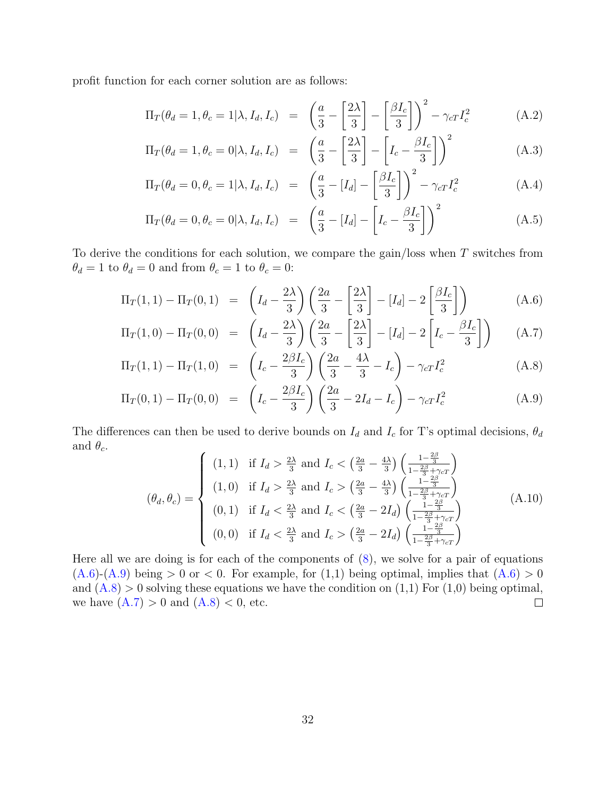profit function for each corner solution are as follows:

$$
\Pi_T(\theta_d = 1, \theta_c = 1 | \lambda, I_d, I_c) = \left(\frac{a}{3} - \left[\frac{2\lambda}{3}\right] - \left[\frac{\beta I_c}{3}\right]\right)^2 - \gamma_{cT} I_c^2
$$
\n(A.2)

$$
\Pi_T(\theta_d = 1, \theta_c = 0 | \lambda, I_d, I_c) = \left(\frac{a}{3} - \left[\frac{2\lambda}{3}\right] - \left[I_c - \frac{\beta I_c}{3}\right]\right)^2\tag{A.3}
$$

$$
\Pi_T(\theta_d = 0, \theta_c = 1 | \lambda, I_d, I_c) = \left(\frac{a}{3} - [I_d] - \left[\frac{\beta I_c}{3}\right]\right)^2 - \gamma_{cT} I_c^2
$$
\n(A.4)

$$
\Pi_T(\theta_d = 0, \theta_c = 0 | \lambda, I_d, I_c) = \left(\frac{a}{3} - [I_d] - \left[I_c - \frac{\beta I_c}{3}\right]\right)^2 \tag{A.5}
$$

To derive the conditions for each solution, we compare the gain/loss when T switches from  $\theta_d = 1$  to  $\theta_d = 0$  and from  $\theta_c = 1$  to  $\theta_c = 0$ :

<span id="page-31-0"></span>
$$
\Pi_T(1,1) - \Pi_T(0,1) = \left(I_d - \frac{2\lambda}{3}\right) \left(\frac{2a}{3} - \left[\frac{2\lambda}{3}\right] - [I_d] - 2\left[\frac{\beta I_c}{3}\right]\right) \tag{A.6}
$$

$$
\Pi_T(1,0) - \Pi_T(0,0) = \left(I_d - \frac{2\lambda}{3}\right) \left(\frac{2a}{3} - \left[\frac{2\lambda}{3}\right] - [I_d] - 2\left[I_c - \frac{\beta I_c}{3}\right]\right) \tag{A.7}
$$

$$
\Pi_T(1,1) - \Pi_T(1,0) = \left(I_c - \frac{2\beta I_c}{3}\right) \left(\frac{2a}{3} - \frac{4\lambda}{3} - I_c\right) - \gamma_c T_c^2 \tag{A.8}
$$

$$
\Pi_T(0,1) - \Pi_T(0,0) = \left(I_c - \frac{2\beta I_c}{3}\right) \left(\frac{2a}{3} - 2I_d - I_c\right) - \gamma_c T_c^2 \tag{A.9}
$$

The differences can then be used to derive bounds on  $I_d$  and  $I_c$  for T's optimal decisions,  $\theta_d$ and  $\theta_c$ .  $\overline{ }$  $\overline{ }$ 2β

$$
(\theta_d, \theta_c) = \begin{cases} (1, 1) & \text{if } I_d > \frac{2\lambda}{3} \text{ and } I_c < \left(\frac{2a}{3} - \frac{4\lambda}{3}\right) \left(\frac{1 - \frac{2\beta}{3}}{1 - \frac{2\beta}{3} + \gamma_c} \right) \\ (1, 0) & \text{if } I_d > \frac{2\lambda}{3} \text{ and } I_c > \left(\frac{2a}{3} - \frac{4\lambda}{3}\right) \left(\frac{1 - \frac{2\beta}{3}}{1 - \frac{2\beta}{3} + \gamma_c} \right) \\ (0, 1) & \text{if } I_d < \frac{2\lambda}{3} \text{ and } I_c < \left(\frac{2a}{3} - 2I_d\right) \left(\frac{1 - \frac{2\beta}{3}}{1 - \frac{2\beta}{3} + \gamma_c} \right) \\ (0, 0) & \text{if } I_d < \frac{2\lambda}{3} \text{ and } I_c > \left(\frac{2a}{3} - 2I_d\right) \left(\frac{1 - \frac{2\beta}{3}}{1 - \frac{2\beta}{3} + \gamma_c} \right) \end{cases} (A.10)
$$

Here all we are doing is for each of the components of  $(8)$ , we solve for a pair of equations  $(A.6)-(A.9)$  $(A.6)-(A.9)$  $(A.6)-(A.9)$  being  $>0$  or  $< 0$ . For example, for  $(1,1)$  being optimal, implies that  $(A.6) > 0$ and  $(A.8) > 0$  $(A.8) > 0$  solving these equations we have the condition on  $(1,1)$  For  $(1,0)$  being optimal, we have  $(A.7) > 0$  $(A.7) > 0$  and  $(A.8) < 0$  $(A.8) < 0$ , etc.  $\Box$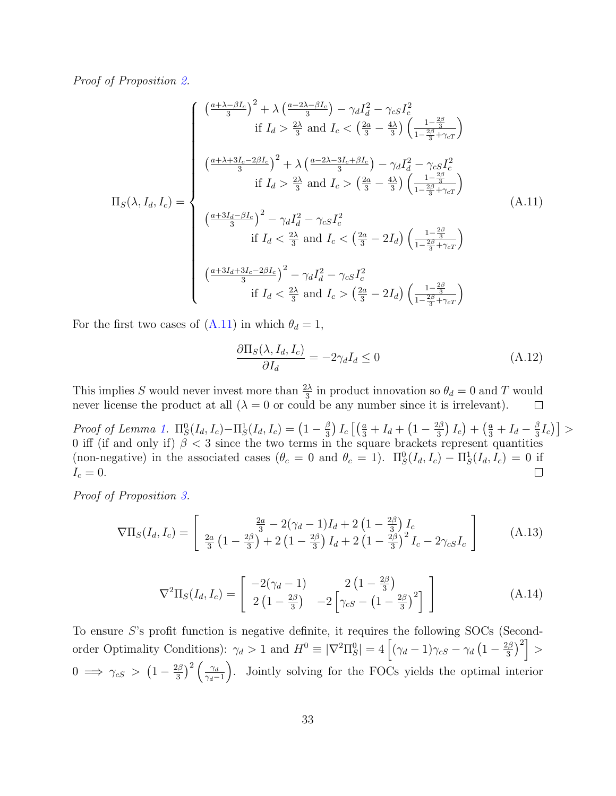Proof of Proposition [2.](#page-11-0)

<span id="page-32-0"></span>
$$
\Pi_{S}(\lambda, I_{d}, I_{c}) = \begin{cases}\n\left(\frac{a+\lambda-\beta I_{c}}{3}\right)^{2} + \lambda \left(\frac{a-2\lambda-\beta I_{c}}{3}\right) - \gamma_{d}I_{d}^{2} - \gamma_{cS}I_{c}^{2} \\
\text{if } I_{d} > \frac{2\lambda}{3} \text{ and } I_{c} < \left(\frac{2a}{3} - \frac{4\lambda}{3}\right) \left(\frac{1-\frac{2\beta}{3}}{1-\frac{2\beta}{3}+\gamma_{cT}}\right) \\
\left(\frac{a+\lambda+3I_{c}-2\beta I_{c}}{3}\right)^{2} + \lambda \left(\frac{a-2\lambda-3I_{c}+\beta I_{c}}{3}\right) - \gamma_{d}I_{d}^{2} - \gamma_{cS}I_{c}^{2} \\
\text{if } I_{d} > \frac{2\lambda}{3} \text{ and } I_{c} > \left(\frac{2a}{3} - \frac{4\lambda}{3}\right) \left(\frac{1-\frac{2\beta}{3}}{1-\frac{2\beta}{3}+\gamma_{cT}}\right) \\
\left(\frac{a+3I_{d}-\beta I_{c}}{3}\right)^{2} - \gamma_{d}I_{d}^{2} - \gamma_{cS}I_{c}^{2} \\
\text{if } I_{d} < \frac{2\lambda}{3} \text{ and } I_{c} < \left(\frac{2a}{3} - 2I_{d}\right) \left(\frac{1-\frac{2\beta}{3}}{1-\frac{2\beta}{3}+\gamma_{cT}}\right) \\
\left(\frac{a+3I_{d}+3I_{c}-2\beta I_{c}}{3}\right)^{2} - \gamma_{d}I_{d}^{2} - \gamma_{cS}I_{c}^{2} \\
\text{if } I_{d} < \frac{2\lambda}{3} \text{ and } I_{c} > \left(\frac{2a}{3} - 2I_{d}\right) \left(\frac{1-\frac{2\beta}{3}}{1-\frac{2\beta}{3}+\gamma_{cT}}\right)\n\end{cases} (A.11)
$$

For the first two cases of [\(A.11\)](#page-32-0) in which  $\theta_d = 1$ ,

$$
\frac{\partial \Pi_S(\lambda, I_d, I_c)}{\partial I_d} = -2\gamma_d I_d \le 0
$$
\n(A.12)

This implies S would never invest more than  $\frac{2\lambda}{3}$  in product innovation so  $\theta_d = 0$  and T would never license the product at all  $(\lambda = 0$  or could be any number since it is irrelevant).  $\Box$ 

Proof of Lemma [1.](#page-12-0)  $\Pi_S^0(I_d, I_c) - \Pi_S^1(I_d, I_c) = \left(1 - \frac{\beta}{3}\right)$  $\left(\frac{\beta}{3}\right)I_c\left[\left(\frac{a}{3}+I_d+\left(1-\frac{2\beta}{3}\right)\right.$  $\left(\frac{2\beta}{3}\right)I_c\big)+\left(\frac{a}{3}+I_d-\frac{\beta}{3}\right)$  $\frac{\beta}{3}I_c\big)\big] >$ 0 iff (if and only if)  $\beta$  < 3 since the two terms in the square brackets represent quantities (non-negative) in the associated cases  $(\theta_c = 0 \text{ and } \theta_c = 1)$ .  $\Pi_S^0(I_d, I_c) - \Pi_S^1(I_d, I_c) = 0$  if  $I_c=0.$  $\Box$ 

Proof of Proposition [3.](#page-12-1)

$$
\nabla\Pi_S(I_d, I_c) = \begin{bmatrix} \frac{2a}{3} - 2(\gamma_d - 1)I_d + 2\left(1 - \frac{2\beta}{3}\right)I_c\\ \frac{2a}{3}\left(1 - \frac{2\beta}{3}\right) + 2\left(1 - \frac{2\beta}{3}\right)I_d + 2\left(1 - \frac{2\beta}{3}\right)^2I_c - 2\gamma_{cS}I_c \end{bmatrix}
$$
(A.13)

$$
\nabla^2 \Pi_S(I_d, I_c) = \begin{bmatrix} -2(\gamma_d - 1) & 2\left(1 - \frac{2\beta}{3}\right) \\ 2\left(1 - \frac{2\beta}{3}\right) & -2\left[\gamma_{cS} - \left(1 - \frac{2\beta}{3}\right)^2\right] \end{bmatrix}
$$
(A.14)

To ensure S's profit function is negative definite, it requires the following SOCs (Secondorder Optimality Conditions):  $\gamma_d > 1$  and  $H^0 \equiv |\nabla^2 \Pi_S^0| = 4 \left[ (\gamma_d - 1) \gamma_{cS} - \gamma_d \left( 1 - \frac{2\beta_d}{3} \right) \right]$  $\left\lfloor \frac{2\beta}{3}\right\rceil^2\right\rfloor >$  $0 \implies \gamma_{cS} > (1 - \frac{2\beta}{3})$  $\left(\frac{\gamma_d}{3}\right)^2 \left(\frac{\gamma_d}{\gamma_d - \gamma_d}\right)$  $\gamma_d-1$ . Jointly solving for the FOCs yields the optimal interior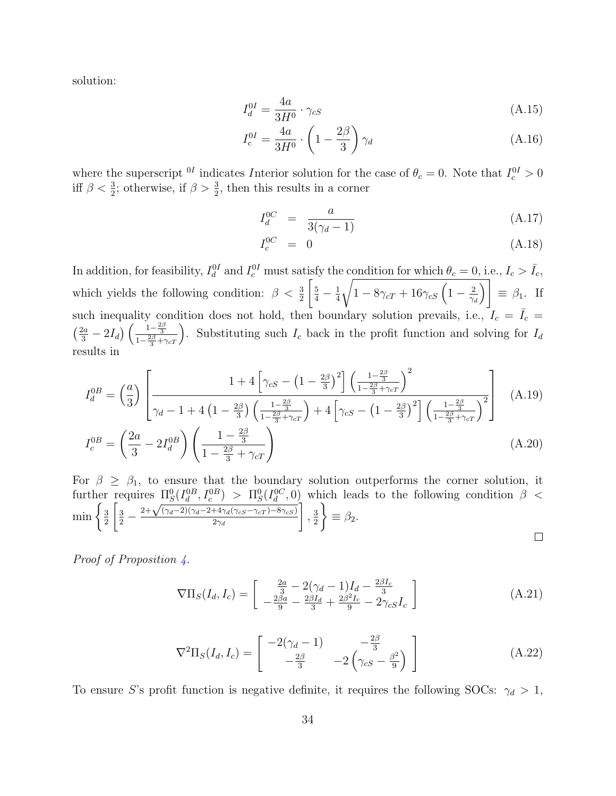solution:

$$
I_d^{0I} = \frac{4a}{3H^0} \cdot \gamma_{cS} \tag{A.15}
$$

$$
I_c^{0I} = \frac{4a}{3H^0} \cdot \left(1 - \frac{2\beta}{3}\right) \gamma_d \tag{A.16}
$$

where the superscript <sup>0I</sup> indicates Interior solution for the case of  $\theta_c = 0$ . Note that  $I_c^{0I} > 0$ iff  $\beta < \frac{3}{2}$ ; otherwise, if  $\beta > \frac{3}{2}$ , then this results in a corner

$$
I_d^{0C} = \frac{a}{3(\gamma_d - 1)} \tag{A.17}
$$

$$
I_c^{0C} = 0 \tag{A.18}
$$

In addition, for feasibility,  $I_d^{0I}$  and  $I_c^{0I}$  must satisfy the condition for which  $\theta_c = 0$ , i.e.,  $I_c > \bar{I}_c$ , which yields the following condition:  $\beta < \frac{3}{2}$  $\left[\frac{5}{4}-\frac{1}{4}\right]$ 4  $\sqrt{1-8\gamma_{cT}+16\gamma_{cS}\left(1-\frac{2}{\gamma_{cT}}\right)}$  $\gamma_d$  $\overline{\setminus}$  $\equiv \beta_1$ . If such inequality condition does not hold, then boundary solution prevails, i.e.,  $I_c = \overline{I}_c =$  $\left(\frac{2a}{3}-2I_d\right)\left(\frac{1-\frac{2\beta}{3}}{1-\frac{2\beta}{3}+\gamma_cT}\right)$ . Substituting such  $I_c$  back in the profit function and solving for  $I_d$ results in

$$
I_d^{0B} = \left(\frac{a}{3}\right) \left[ \frac{1 + 4\left[\gamma_{cS} - \left(1 - \frac{2\beta}{3}\right)^2\right] \left(\frac{1 - \frac{2\beta}{3}}{1 - \frac{2\beta}{3} + \gamma_{cT}}\right)^2}{\gamma_d - 1 + 4\left(1 - \frac{2\beta}{3}\right) \left(\frac{1 - \frac{2\beta}{3}}{1 - \frac{2\beta}{3} + \gamma_{cT}}\right) + 4\left[\gamma_{cS} - \left(1 - \frac{2\beta}{3}\right)^2\right] \left(\frac{1 - \frac{2\beta}{3}}{1 - \frac{2\beta}{3} + \gamma_{cT}}\right)^2} \right] (A.19)
$$

$$
I_c^{0B} = \left(\frac{2a}{3} - 2I_d^{0B}\right) \left(\frac{1 - \frac{2\beta}{3}}{1 - \frac{2\beta}{3} + \gamma_{cT}}\right)
$$
(A.20)

For  $\beta \geq \beta_1$ , to ensure that the boundary solution outperforms the corner solution, it further requires  $\Pi_S^0(I_d^{0B}, I_c^{0B}) > \Pi_S^0(I_d^{0C}, 0)$  which leads to the following condition  $\beta$  < TES  $\frac{\Pi_S(I_d, I_c)}{1 + \sqrt{(\gamma_d - 2)(\gamma_d - 2 + 4\gamma_d(\gamma_{cS} - \gamma_{cT}) - 8\gamma_{cS})}}$  $\min\left\{\frac{3}{2}\right\}$  $\frac{3}{2}$  – 1  $\mathcal{L}$ , 3  $\equiv \beta_2.$ 2  $2\gamma_d$ 2  $\Box$ 

Proof of Proposition [4.](#page-13-0)

$$
\nabla\Pi_S(I_d, I_c) = \begin{bmatrix} \frac{2a}{3} - 2(\gamma_d - 1)I_d - \frac{2\beta I_c}{3} \\ -\frac{2\beta a}{9} - \frac{2\beta I_d}{3} + \frac{2\beta^2 I_c}{9} - 2\gamma_{cS}I_c \end{bmatrix}
$$
(A.21)

$$
\nabla^2 \Pi_S(I_d, I_c) = \begin{bmatrix} -2(\gamma_d - 1) & -\frac{2\beta}{3} \\ -\frac{2\beta}{3} & -2(\gamma_{cS} - \frac{\beta^2}{9}) \end{bmatrix} \tag{A.22}
$$

To ensure S's profit function is negative definite, it requires the following SOCs:  $\gamma_d > 1$ ,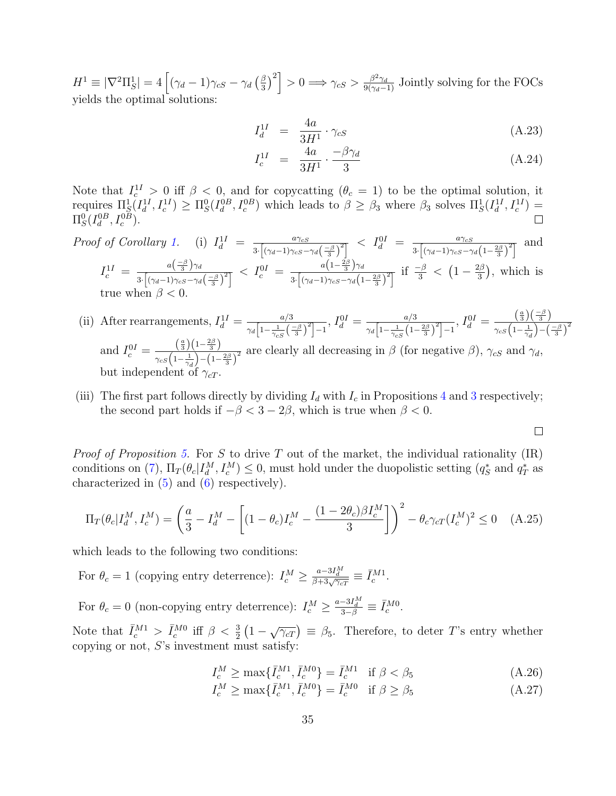$H^1 \equiv \lvert \nabla^2\Pi_S^1 \rvert = 4 \left[ (\gamma_d - 1) \gamma_{cS} - \gamma_d \left( \frac{\beta}{3} \right) \right]$  $\left[\frac{\beta}{3}\right)^2$  > 0  $\Rightarrow \gamma_{cS} > \frac{\beta^2 \gamma_d}{9(\gamma_d-1)}$  Jointly solving for the FOCs yields the optimal solutions:

$$
I_d^{1I} = \frac{4a}{3H^1} \cdot \gamma_{cS} \tag{A.23}
$$

$$
I_c^{1I} = \frac{4a}{3H^1} \cdot \frac{-\beta \gamma_d}{3} \tag{A.24}
$$

 $\Box$ 

Note that  $I_c^{11} > 0$  iff  $\beta < 0$ , and for copycatting  $(\theta_c = 1)$  to be the optimal solution, it requires  $\Pi_S^1(I_d^1, I_c^{1I}) \geq \Pi_S^0(I_d^{0B}, I_c^{0B})$  which leads to  $\beta \geq \beta_3$  where  $\beta_3$  solves  $\Pi_S^1(I_d^{1I}, I_c^{1I}) =$  $\Pi_S^0(I_d^{0B}, I_c^{0B}).$ 

Proof of Corollary 1. (i) 
$$
I_d^{1I} = \frac{a\gamma_{cS}}{3\cdot \left[\left(\gamma_d-1\right)\gamma_{cS}-\gamma_d\left(\frac{-\beta}{3}\right)^2\right]} < I_d^{0I} = \frac{a\gamma_{cS}}{3\cdot \left[\left(\gamma_d-1\right)\gamma_{cS}-\gamma_d\left(1-\frac{2\beta}{3}\right)^2\right]}
$$
 and  $I_c^{1I} = \frac{a\left(\frac{-\beta}{3}\right)\gamma_d}{3\cdot \left[\left(\gamma_d-1\right)\gamma_{cS}-\gamma_d\left(\frac{-\beta}{3}\right)^2\right]} < I_c^{0I} = \frac{a\left(1-\frac{2\beta}{3}\right)\gamma_d}{3\cdot \left[\left(\gamma_d-1\right)\gamma_{cS}-\gamma_d\left(1-\frac{2\beta}{3}\right)^2\right]}$  if  $\frac{-\beta}{3} < \left(1-\frac{2\beta}{3}\right)$ , which is true when  $\beta < 0$ .

- (ii) After rearrangements,  $I_d^{1I} = \frac{a/3}{a \sqrt{1 1}}$  $\frac{a/3}{\gamma_d \left[1-\frac{1}{\gamma_{cS}}\left(\frac{-\beta}{3}\right)^2\right]-1}, I_d^{\{0\}} = \frac{a/3}{\gamma_d \left[1-\frac{1}{\gamma_{cS}}\left(1-\frac{1}{\gamma_{cS}}\right)^2\right]}$  $\frac{a/3}{\gamma_d \left[1-\frac{1}{\gamma_{cS}}\left(1-\frac{2\beta}{3}\right)^2\right]-1},\,I_d^{0I}=\frac{\left(\frac{a}{3}\right)\left(\frac{-\beta}{3}\right)}{\gamma_{cS}\left(1-\frac{1}{\gamma_d}\right)-1}.$  $\gamma_{cS}\Big(1-\frac{1}{\gamma_d}\Big)-\Big(\frac{-\beta}{3}\Big)^2$ and  $I_c^{0I} = \frac{\left(\frac{a}{3}\right)\left(1-\frac{2\beta}{3}\right)}{\alpha \left(1-\frac{1}{3}\right)\left(1-\frac{2\beta}{3}\right)}$  $\frac{(3)(1-3)}{\gamma_{cS}(1-\frac{1}{\gamma_d})-(1-\frac{2\beta}{3})^2}$  are clearly all decreasing in  $\beta$  (for negative  $\beta$ ),  $\gamma_{cS}$  and  $\gamma_d$ , but independent of
- (iii) The first part follows directly by dividing  $I_d$  with  $I_c$  in Propositions [4](#page-13-0) and [3](#page-12-1) respectively; the second part holds if  $-\beta < 3 - 2\beta$ , which is true when  $\beta < 0$ .

*Proof of Proposition [5.](#page-15-0)* For S to drive T out of the market, the individual rationality  $(IR)$ conditions on [\(7\)](#page-9-1),  $\Pi_T(\theta_c | I_d^M, I_c^M) \leq 0$ , must hold under the duopolistic setting  $(q_S^*$  and  $q_T^*$  as characterized in [\(5\)](#page-9-2) and [\(6\)](#page-9-3) respectively).

$$
\Pi_T(\theta_c | I_d^M, I_c^M) = \left(\frac{a}{3} - I_d^M - \left[ (1 - \theta_c)I_c^M - \frac{(1 - 2\theta_c)\beta I_c^M}{3} \right] \right)^2 - \theta_c \gamma_{cT} (I_c^M)^2 \le 0 \quad (A.25)
$$

which leads to the following two conditions:

For  $\theta_c = 1$  (copying entry deterrence):  $I_c^M \ge \frac{a-3I_d^M}{\beta+3\sqrt{\gamma_cT}} \equiv \bar{I}_c^{M1}$ .

For  $\theta_c = 0$  (non-copying entry deterrence):  $I_c^M \ge \frac{a-3I_d^M}{3-\beta} \equiv \bar{I}_c^{M0}$ .

Note that  $\bar{I}_{c}^{M1} > \bar{I}_{c}^{M0}$  iff  $\beta < \frac{3}{2}(1 - \sqrt{\gamma_{cT}}) \equiv \beta_5$ . Therefore, to deter T's entry whether copying or not, S's investment must satisfy:

$$
I_c^M \ge \max\{\bar{I}_c^{M1}, \bar{I}_c^{M0}\} = \bar{I}_c^{M1} \quad \text{if } \beta < \beta_5 \tag{A.26}
$$

$$
I_c^M \ge \max\{\bar{I}_c^{M1}, \bar{I}_c^{M0}\} = \bar{I}_c^{M0} \quad \text{if } \beta \ge \beta_5 \tag{A.27}
$$